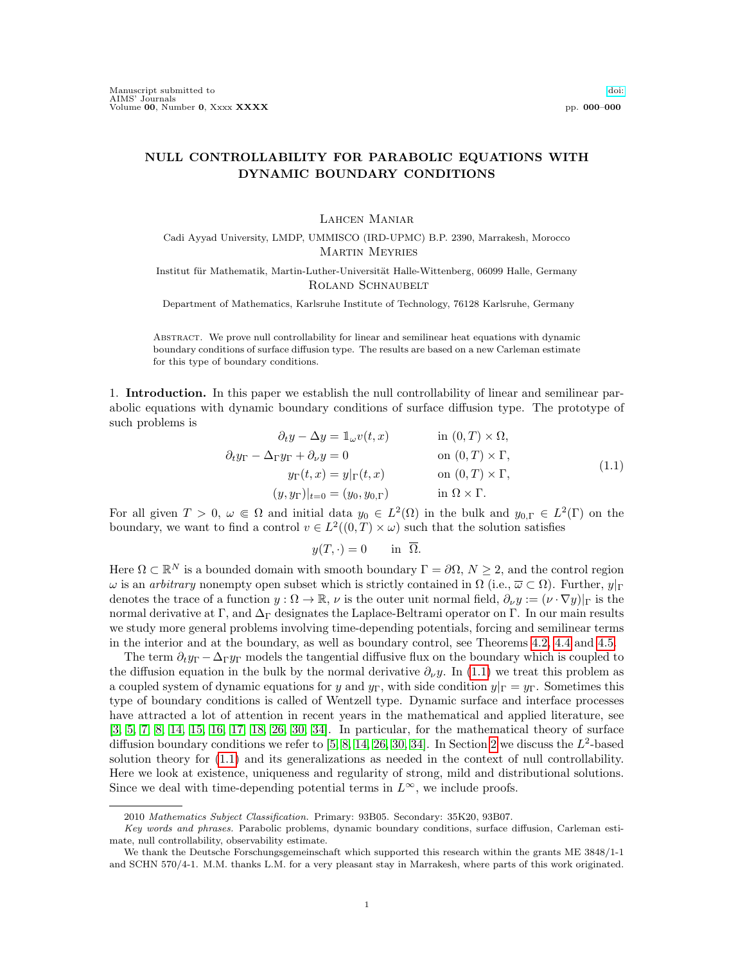## NULL CONTROLLABILITY FOR PARABOLIC EQUATIONS WITH DYNAMIC BOUNDARY CONDITIONS

Lahcen Maniar

Cadi Ayyad University, LMDP, UMMISCO (IRD-UPMC) B.P. 2390, Marrakesh, Morocco Martin Meyries

Institut für Mathematik, Martin-Luther-Universität Halle-Wittenberg, 06099 Halle, Germany ROLAND SCHNAUBELT

Department of Mathematics, Karlsruhe Institute of Technology, 76128 Karlsruhe, Germany

Abstract. We prove null controllability for linear and semilinear heat equations with dynamic boundary conditions of surface diffusion type. The results are based on a new Carleman estimate for this type of boundary conditions.

1. Introduction. In this paper we establish the null controllability of linear and semilinear parabolic equations with dynamic boundary conditions of surface diffusion type. The prototype of such problems is

<span id="page-0-0"></span>
$$
\partial_t y - \Delta y = \mathbb{1}_{\omega} v(t, x) \quad \text{in } (0, T) \times \Omega,
$$
  
\n
$$
\partial_t y_{\Gamma} - \Delta_{\Gamma} y_{\Gamma} + \partial_{\nu} y = 0 \quad \text{on } (0, T) \times \Gamma,
$$
  
\n
$$
y_{\Gamma}(t, x) = y|_{\Gamma}(t, x) \quad \text{on } (0, T) \times \Gamma,
$$
  
\n
$$
(y, y_{\Gamma})|_{t=0} = (y_0, y_{0,\Gamma}) \quad \text{in } \Omega \times \Gamma.
$$
\n(1.1)

For all given  $T > 0$ ,  $\omega \in \Omega$  and initial data  $y_0 \in L^2(\Omega)$  in the bulk and  $y_{0,\Gamma} \in L^2(\Gamma)$  on the boundary, we want to find a control  $v \in L^2((0,T) \times \omega)$  such that the solution satisfies

$$
y(T, \cdot) = 0 \quad \text{in } \overline{\Omega}.
$$

Here  $\Omega \subset \mathbb{R}^N$  is a bounded domain with smooth boundary  $\Gamma = \partial \Omega, N \geq 2$ , and the control region  $\omega$  is an *arbitrary* nonempty open subset which is strictly contained in  $\Omega$  (i.e.,  $\overline{\omega} \subset \Omega$ ). Further,  $y|_{\Gamma}$ denotes the trace of a function  $y : \Omega \to \mathbb{R}$ ,  $\nu$  is the outer unit normal field,  $\partial_{\nu} y := (\nu \cdot \nabla y)|_{\Gamma}$  is the normal derivative at Γ, and  $\Delta_{\Gamma}$  designates the Laplace-Beltrami operator on Γ. In our main results we study more general problems involving time-depending potentials, forcing and semilinear terms in the interior and at the boundary, as well as boundary control, see Theorems [4.2,](#page-15-0) [4.4](#page-18-0) and [4.5.](#page-19-0)

The term  $\partial_t y_\Gamma - \Delta_\Gamma y_\Gamma$  models the tangential diffusive flux on the boundary which is coupled to the diffusion equation in the bulk by the normal derivative  $\partial_{\nu}y$ . In [\(1.1\)](#page-0-0) we treat this problem as a coupled system of dynamic equations for y and  $y_{\Gamma}$ , with side condition  $y|_{\Gamma} = y_{\Gamma}$ . Sometimes this type of boundary conditions is called of Wentzell type. Dynamic surface and interface processes have attracted a lot of attention in recent years in the mathematical and applied literature, see [\[3,](#page-20-0) [5,](#page-20-1) [7,](#page-20-2) [8,](#page-20-3) [14,](#page-21-0) [15,](#page-21-1) [16,](#page-21-2) [17,](#page-21-3) [18,](#page-21-4) [26,](#page-21-5) [30,](#page-21-6) [34\]](#page-21-7). In particular, for the mathematical theory of surface diffusion boundary conditions we refer to  $[5, 8, 14, 26, 30, 34]$  $[5, 8, 14, 26, 30, 34]$  $[5, 8, 14, 26, 30, 34]$  $[5, 8, 14, 26, 30, 34]$  $[5, 8, 14, 26, 30, 34]$  $[5, 8, 14, 26, 30, 34]$ . In Section [2](#page-2-0) we discuss the  $L^2$ -based solution theory for [\(1.1\)](#page-0-0) and its generalizations as needed in the context of null controllability. Here we look at existence, uniqueness and regularity of strong, mild and distributional solutions. Since we deal with time-depending potential terms in  $L^{\infty}$ , we include proofs.

<sup>2010</sup> Mathematics Subject Classification. Primary: 93B05. Secondary: 35K20, 93B07.

Key words and phrases. Parabolic problems, dynamic boundary conditions, surface diffusion, Carleman estimate, null controllability, observability estimate.

We thank the Deutsche Forschungsgemeinschaft which supported this research within the grants ME 3848/1-1 and SCHN 570/4-1. M.M. thanks L.M. for a very pleasant stay in Marrakesh, where parts of this work originated.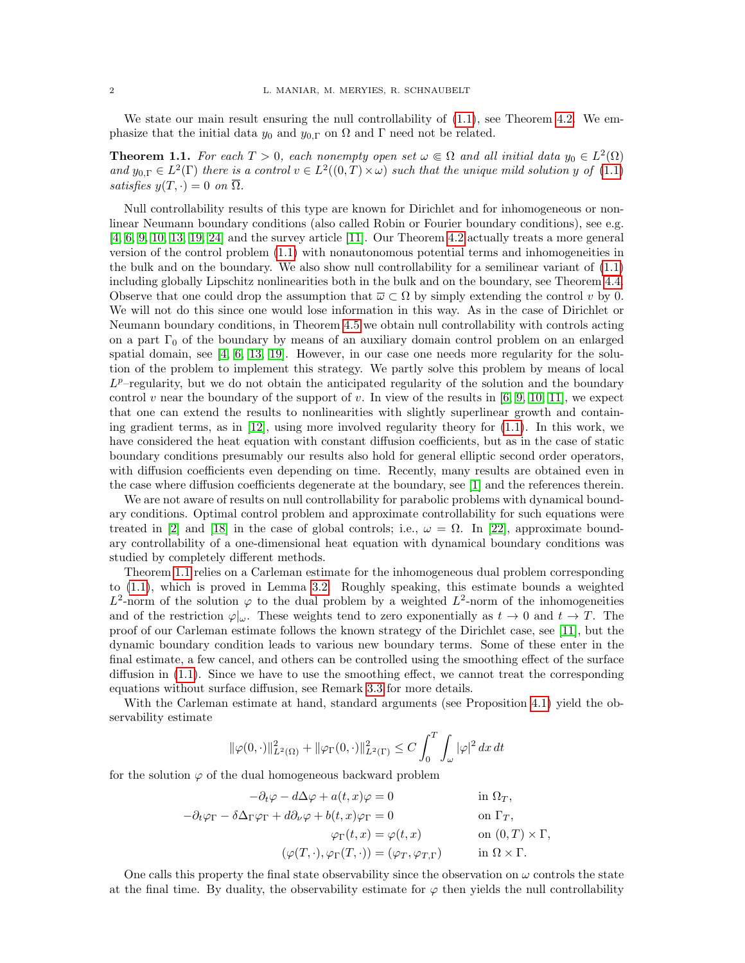We state our main result ensuring the null controllability of  $(1.1)$ , see Theorem [4.2.](#page-15-0) We emphasize that the initial data  $y_0$  and  $y_{0,\Gamma}$  on  $\Omega$  and  $\Gamma$  need not be related.

<span id="page-1-0"></span>**Theorem 1.1.** For each  $T > 0$ , each nonempty open set  $\omega \in \Omega$  and all initial data  $y_0 \in L^2(\Omega)$ and  $y_{0,\Gamma} \in L^2(\Gamma)$  there is a control  $v \in L^2((0,T) \times \omega)$  such that the unique mild solution y of  $(1.1)$ satisfies  $y(T, \cdot) = 0$  on  $\overline{\Omega}$ .

Null controllability results of this type are known for Dirichlet and for inhomogeneous or nonlinear Neumann boundary conditions (also called Robin or Fourier boundary conditions), see e.g. [\[4,](#page-20-4) [6,](#page-20-5) [9,](#page-20-6) [10,](#page-20-7) [13,](#page-21-8) [19,](#page-21-9) [24\]](#page-21-10) and the survey article [\[11\]](#page-20-8). Our Theorem [4.2](#page-15-0) actually treats a more general version of the control problem [\(1.1\)](#page-0-0) with nonautonomous potential terms and inhomogeneities in the bulk and on the boundary. We also show null controllability for a semilinear variant of [\(1.1\)](#page-0-0) including globally Lipschitz nonlinearities both in the bulk and on the boundary, see Theorem [4.4.](#page-18-0) Observe that one could drop the assumption that  $\overline{\omega} \subset \Omega$  by simply extending the control v by 0. We will not do this since one would lose information in this way. As in the case of Dirichlet or Neumann boundary conditions, in Theorem [4.5](#page-19-0) we obtain null controllability with controls acting on a part  $\Gamma_0$  of the boundary by means of an auxiliary domain control problem on an enlarged spatial domain, see [\[4,](#page-20-4) [6,](#page-20-5) [13,](#page-21-8) [19\]](#page-21-9). However, in our case one needs more regularity for the solution of the problem to implement this strategy. We partly solve this problem by means of local  $L^p$ -regularity, but we do not obtain the anticipated regularity of the solution and the boundary control v near the boundary of the support of v. In view of the results in [\[6,](#page-20-5) [9,](#page-20-6) [10,](#page-20-7) [11\]](#page-20-8), we expect that one can extend the results to nonlinearities with slightly superlinear growth and containing gradient terms, as in [\[12\]](#page-21-11), using more involved regularity theory for [\(1.1\)](#page-0-0). In this work, we have considered the heat equation with constant diffusion coefficients, but as in the case of static boundary conditions presumably our results also hold for general elliptic second order operators, with diffusion coefficients even depending on time. Recently, many results are obtained even in the case where diffusion coefficients degenerate at the boundary, see [\[1\]](#page-20-9) and the references therein.

We are not aware of results on null controllability for parabolic problems with dynamical boundary conditions. Optimal control problem and approximate controllability for such equations were treated in [\[2\]](#page-20-10) and [\[18\]](#page-21-4) in the case of global controls; i.e.,  $\omega = \Omega$ . In [\[22\]](#page-21-12), approximate boundary controllability of a one-dimensional heat equation with dynamical boundary conditions was studied by completely different methods.

Theorem [1.1](#page-1-0) relies on a Carleman estimate for the inhomogeneous dual problem corresponding to [\(1.1\)](#page-0-0), which is proved in Lemma [3.2.](#page-7-0) Roughly speaking, this estimate bounds a weighted  $L^2$ -norm of the solution  $\varphi$  to the dual problem by a weighted  $L^2$ -norm of the inhomogeneities and of the restriction  $\varphi|_{\omega}$ . These weights tend to zero exponentially as  $t \to 0$  and  $t \to T$ . The proof of our Carleman estimate follows the known strategy of the Dirichlet case, see [\[11\]](#page-20-8), but the dynamic boundary condition leads to various new boundary terms. Some of these enter in the final estimate, a few cancel, and others can be controlled using the smoothing effect of the surface diffusion in [\(1.1\)](#page-0-0). Since we have to use the smoothing effect, we cannot treat the corresponding equations without surface diffusion, see Remark [3.3](#page-14-0) for more details.

With the Carleman estimate at hand, standard arguments (see Proposition [4.1\)](#page-14-1) yield the observability estimate

$$
\|\varphi(0,\cdot)\|_{L^2(\Omega)}^2 + \|\varphi_{\Gamma}(0,\cdot)\|_{L^2(\Gamma)}^2 \le C \int_0^T \int_{\omega} |\varphi|^2 \, dx \, dt
$$

for the solution  $\varphi$  of the dual homogeneous backward problem

$$
-\partial_t \varphi - d\Delta \varphi + a(t, x)\varphi = 0 \qquad \text{in } \Omega_T,
$$
  

$$
-\partial_t \varphi_\Gamma - \delta \Delta_\Gamma \varphi_\Gamma + d\partial_\nu \varphi + b(t, x)\varphi_\Gamma = 0 \qquad \text{on } \Gamma_T,
$$
  

$$
\varphi_\Gamma(t, x) = \varphi(t, x) \qquad \text{on } (0, T) \times \Gamma,
$$
  

$$
(\varphi(T, \cdot), \varphi_\Gamma(T, \cdot)) = (\varphi_T, \varphi_{T, \Gamma}) \qquad \text{in } \Omega \times \Gamma.
$$

One calls this property the final state observability since the observation on  $\omega$  controls the state at the final time. By duality, the observability estimate for  $\varphi$  then yields the null controllability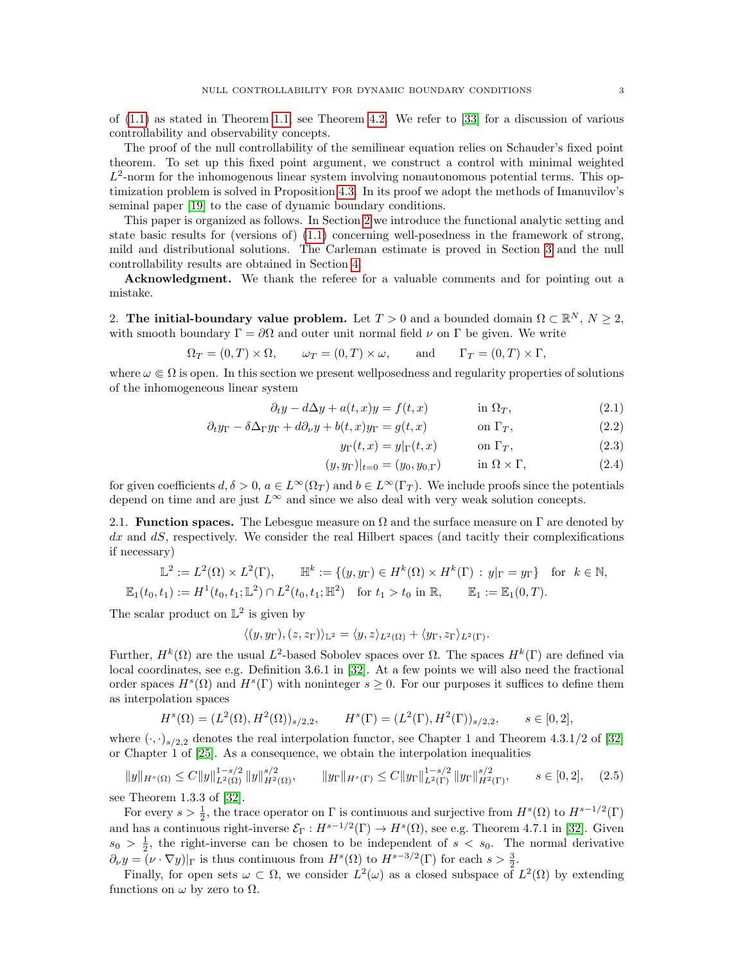of [\(1.1\)](#page-0-0) as stated in Theorem [1.1,](#page-1-0) see Theorem [4.2.](#page-15-0) We refer to [\[33\]](#page-21-13) for a discussion of various controllability and observability concepts.

The proof of the null controllability of the semilinear equation relies on Schauder's fixed point theorem. To set up this fixed point argument, we construct a control with minimal weighted  $L^2$ -norm for the inhomogenous linear system involving nonautonomous potential terms. This optimization problem is solved in Proposition [4.3.](#page-16-0) In its proof we adopt the methods of Imanuvilov's seminal paper [\[19\]](#page-21-9) to the case of dynamic boundary conditions.

This paper is organized as follows. In Section [2](#page-2-0) we introduce the functional analytic setting and state basic results for (versions of) [\(1.1\)](#page-0-0) concerning well-posedness in the framework of strong, mild and distributional solutions. The Carleman estimate is proved in Section [3](#page-7-1) and the null controllability results are obtained in Section [4.](#page-14-2)

Acknowledgment. We thank the referee for a valuable comments and for pointing out a mistake.

<span id="page-2-0"></span>2. The initial-boundary value problem. Let  $T > 0$  and a bounded domain  $\Omega \subset \mathbb{R}^N$ ,  $N \geq 2$ , with smooth boundary  $\Gamma = \partial \Omega$  and outer unit normal field  $\nu$  on  $\Gamma$  be given. We write

$$
\Omega_T = (0,T) \times \Omega, \qquad \omega_T = (0,T) \times \omega, \qquad \text{and} \qquad \Gamma_T = (0,T) \times \Gamma,
$$

where  $\omega \in \Omega$  is open. In this section we present wellposedness and regularity properties of solutions of the inhomogeneous linear system

$$
\partial_t y - d\Delta y + a(t, x)y = f(t, x) \qquad \text{in } \Omega_T,\tag{2.1}
$$

$$
\partial_t y_{\Gamma} - \delta \Delta_{\Gamma} y_{\Gamma} + d \partial_{\nu} y + b(t, x) y_{\Gamma} = g(t, x) \qquad \text{on } \Gamma_T,
$$
\n(2.2)

<span id="page-2-2"></span><span id="page-2-1"></span>
$$
y_{\Gamma}(t,x) = y|_{\Gamma}(t,x) \qquad \text{on } \Gamma_T, \tag{2.3}
$$

$$
(y, y_{\Gamma})|_{t=0} = (y_0, y_{0,\Gamma}) \quad \text{in } \Omega \times \Gamma,
$$
\n(2.4)

for given coefficients  $d, \delta > 0$ ,  $a \in L^{\infty}(\Omega_T)$  and  $b \in L^{\infty}(\Gamma_T)$ . We include proofs since the potentials depend on time and are just  $L^{\infty}$  and since we also deal with very weak solution concepts.

2.1. **Function spaces.** The Lebesgue measure on  $\Omega$  and the surface measure on  $\Gamma$  are denoted by  $dx$  and  $dS$ , respectively. We consider the real Hilbert spaces (and tacitly their complexifications if necessary)

$$
\mathbb{L}^{2} := L^{2}(\Omega) \times L^{2}(\Gamma), \qquad \mathbb{H}^{k} := \{ (y, y_{\Gamma}) \in H^{k}(\Omega) \times H^{k}(\Gamma) : y|_{\Gamma} = y_{\Gamma} \} \text{ for } k \in \mathbb{N},
$$
  

$$
\mathbb{E}_{1}(t_{0}, t_{1}) := H^{1}(t_{0}, t_{1}; \mathbb{L}^{2}) \cap L^{2}(t_{0}, t_{1}; \mathbb{H}^{2}) \text{ for } t_{1} > t_{0} \text{ in } \mathbb{R}, \qquad \mathbb{E}_{1} := \mathbb{E}_{1}(0, T).
$$

The scalar product on  $\mathbb{L}^2$  is given by

$$
\langle (y, y_{\Gamma}), (z, z_{\Gamma}) \rangle_{\mathbb{L}^2} = \langle y, z \rangle_{L^2(\Omega)} + \langle y_{\Gamma}, z_{\Gamma} \rangle_{L^2(\Gamma)}.
$$

Further,  $H^k(\Omega)$  are the usual  $L^2$ -based Sobolev spaces over  $\Omega$ . The spaces  $H^k(\Gamma)$  are defined via local coordinates, see e.g. Definition 3.6.1 in [\[32\]](#page-21-14). At a few points we will also need the fractional order spaces  $H^s(\Omega)$  and  $H^s(\Gamma)$  with noninteger  $s \geq 0$ . For our purposes it suffices to define them as interpolation spaces

$$
H^{s}(\Omega) = (L^{2}(\Omega), H^{2}(\Omega))_{s/2,2}, \qquad H^{s}(\Gamma) = (L^{2}(\Gamma), H^{2}(\Gamma))_{s/2,2}, \qquad s \in [0,2],
$$

where  $(\cdot, \cdot)_{s/2,2}$  denotes the real interpolation functor, see Chapter 1 and Theorem 4.3.1/2 of [\[32\]](#page-21-14) or Chapter 1 of [\[25\]](#page-21-15). As a consequence, we obtain the interpolation inequalities

$$
||y||_{H^{s}(\Omega)} \leq C||y||_{L^{2}(\Omega)}^{1-s/2} ||y||_{H^{2}(\Omega)}^{s/2}, \qquad ||y_{\Gamma}||_{H^{s}(\Gamma)} \leq C||y_{\Gamma}||_{L^{2}(\Gamma)}^{1-s/2} ||y_{\Gamma}||_{H^{2}(\Gamma)}^{s/2}, \qquad s \in [0,2], \quad (2.5)
$$

see Theorem 1.3.3 of [\[32\]](#page-21-14).

For every  $s > \frac{1}{2}$ , the trace operator on  $\Gamma$  is continuous and surjective from  $H^s(\Omega)$  to  $H^{s-1/2}(\Gamma)$ and has a continuous right-inverse  $\mathcal{E}_{\Gamma}: H^{s-1/2}(\Gamma) \to H^s(\Omega)$ , see e.g. Theorem 4.7.1 in [\[32\]](#page-21-14). Given  $s_0 > \frac{1}{2}$ , the right-inverse can be chosen to be independent of  $s < s_0$ . The normal derivative  $\partial_{\nu} y = (\nu \cdot \nabla y)|_{\Gamma}$  is thus continuous from  $H^s(\Omega)$  to  $H^{s-3/2}(\Gamma)$  for each  $s > \frac{3}{2}$ .

Finally, for open sets  $\omega \subset \Omega$ , we consider  $L^2(\omega)$  as a closed subspace of  $L^2(\Omega)$  by extending functions on  $\omega$  by zero to  $\Omega$ .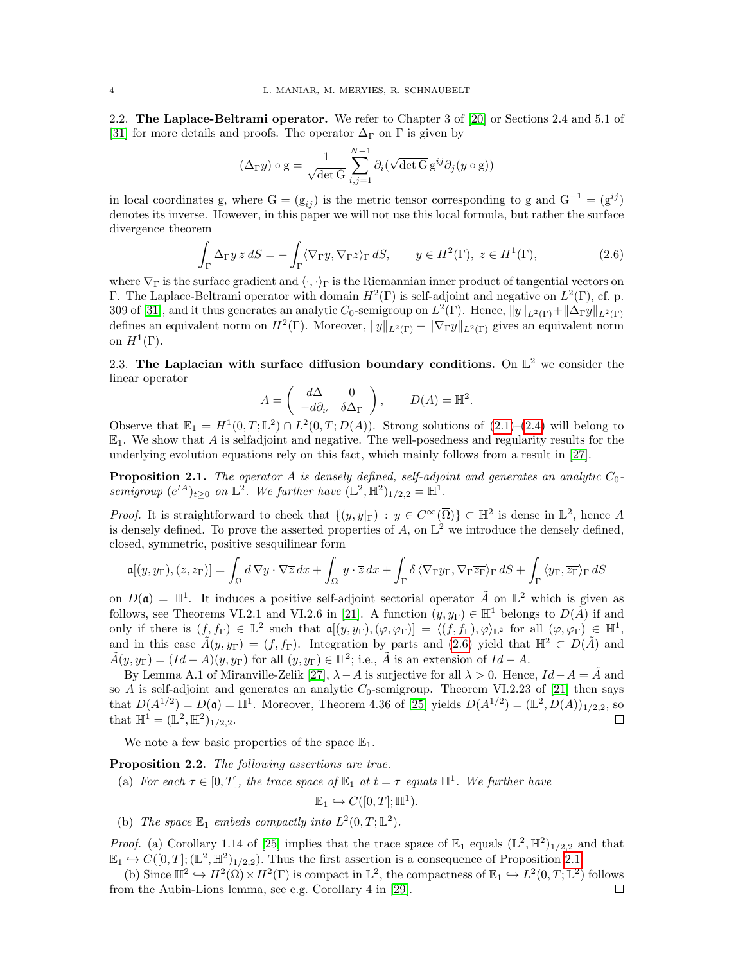2.2. The Laplace-Beltrami operator. We refer to Chapter 3 of [\[20\]](#page-21-16) or Sections 2.4 and 5.1 of [\[31\]](#page-21-17) for more details and proofs. The operator  $\Delta_{\Gamma}$  on  $\Gamma$  is given by

$$
(\Delta_{\Gamma} y) \circ g = \frac{1}{\sqrt{\det G}} \sum_{i,j=1}^{N-1} \partial_i (\sqrt{\det G} \, g^{ij} \partial_j (y \circ g))
$$

in local coordinates g, where  $G = (g_{ij})$  is the metric tensor corresponding to g and  $G^{-1} = (g^{ij})$ denotes its inverse. However, in this paper we will not use this local formula, but rather the surface divergence theorem

<span id="page-3-0"></span>
$$
\int_{\Gamma} \Delta_{\Gamma} y z dS = -\int_{\Gamma} \langle \nabla_{\Gamma} y, \nabla_{\Gamma} z \rangle_{\Gamma} dS, \qquad y \in H^{2}(\Gamma), \ z \in H^{1}(\Gamma), \tag{2.6}
$$

where  $\nabla_{\Gamma}$  is the surface gradient and  $\langle \cdot, \cdot \rangle_{\Gamma}$  is the Riemannian inner product of tangential vectors on Γ. The Laplace-Beltrami operator with domain  $H^2(Γ)$  is self-adjoint and negative on  $L^2(Γ)$ , cf. p. 309 of [\[31\]](#page-21-17), and it thus generates an analytic  $C_0$ -semigroup on  $L^2(\Gamma)$ . Hence,  $||y||_{L^2(\Gamma)} + ||\Delta_{\Gamma} y||_{L^2(\Gamma)}$ defines an equivalent norm on  $H^2(\Gamma)$ . Moreover,  $||y||_{L^2(\Gamma)} + ||\nabla_{\Gamma}y||_{L^2(\Gamma)}$  gives an equivalent norm on  $H^1(\Gamma)$ .

2.3. The Laplacian with surface diffusion boundary conditions. On  $\mathbb{L}^2$  we consider the linear operator

$$
A = \begin{pmatrix} d\Delta & 0 \\ -d\partial_{\nu} & \delta\Delta_{\Gamma} \end{pmatrix}, \qquad D(A) = \mathbb{H}^2.
$$

Observe that  $\mathbb{E}_1 = H^1(0,T;\mathbb{L}^2) \cap L^2(0,T;D(A))$ . Strong solutions of  $(2.1)$ – $(2.4)$  will belong to  $\mathbb{E}_1$ . We show that A is selfadjoint and negative. The well-posedness and regularity results for the underlying evolution equations rely on this fact, which mainly follows from a result in [\[27\]](#page-21-18).

<span id="page-3-1"></span>**Proposition 2.1.** The operator A is densely defined, self-adjoint and generates an analytic  $C_0$ semigroup  $(e^{tA})_{t\geq 0}$  on  $\mathbb{L}^2$ . We further have  $(\mathbb{L}^2, \mathbb{H}^2)_{1/2,2} = \mathbb{H}^1$ .

*Proof.* It is straightforward to check that  $\{(y, y|_{\Gamma}) : y \in C^{\infty}(\overline{\Omega})\} \subset \mathbb{H}^{2}$  is dense in  $\mathbb{L}^{2}$ , hence A is densely defined. To prove the asserted properties of A, on  $\mathbb{L}^2$  we introduce the densely defined, closed, symmetric, positive sesquilinear form

$$
\mathfrak{a}[(y,y_{\Gamma}),(z,z_{\Gamma})]=\int_{\Omega}d\,\nabla y\cdot\nabla\overline{z}\,dx+\int_{\Omega}y\cdot\overline{z}\,dx+\int_{\Gamma}\delta\,\langle\nabla_{\Gamma}y_{\Gamma},\nabla_{\Gamma}\overline{z_{\Gamma}}\rangle_{\Gamma}\,dS+\int_{\Gamma}\langle y_{\Gamma},\overline{z_{\Gamma}}\rangle_{\Gamma}\,dS
$$

on  $D(\mathfrak{a}) = \mathbb{H}^1$ . It induces a positive self-adjoint sectorial operator  $\tilde{A}$  on  $\mathbb{L}^2$  which is given as follows, see Theorems VI.2.1 and VI.2.6 in [\[21\]](#page-21-19). A function  $(y, y_\Gamma) \in \mathbb{H}^1$  belongs to  $D(\tilde{A})$  if and only if there is  $(f, f_{\Gamma}) \in \mathbb{L}^2$  such that  $\mathfrak{a}[(y, y_{\Gamma}), (\varphi, \varphi_{\Gamma})] = \langle (f, f_{\Gamma}), \varphi \rangle_{\mathbb{L}^2}$  for all  $(\varphi, \varphi_{\Gamma}) \in \mathbb{H}^1$ , and in this case  $\tilde{A}(y, y_{\Gamma}) = (f, f_{\Gamma})$ . Integration by parts and [\(2.6\)](#page-3-0) yield that  $\mathbb{H}^2 \subset D(\tilde{A})$  and  $\tilde{A}(y, y_{\Gamma}) = (Id - A)(y, y_{\Gamma})$  for all  $(y, y_{\Gamma}) \in \mathbb{H}^2$ ; i.e.,  $\tilde{A}$  is an extension of  $Id - A$ .

By Lemma A.1 of Miranville-Zelik [\[27\]](#page-21-18),  $\lambda - A$  is surjective for all  $\lambda > 0$ . Hence,  $Id - A = \tilde{A}$  and so A is self-adjoint and generates an analytic  $C_0$ -semigroup. Theorem VI.2.23 of [\[21\]](#page-21-19) then says that  $D(A^{1/2}) = D(\mathfrak{a}) = \mathbb{H}^1$ . Moreover, Theorem 4.36 of [\[25\]](#page-21-15) yields  $D(A^{1/2}) = (\mathbb{L}^2, D(A))_{1/2,2}$ , so that  $\mathbb{H}^1 = (\mathbb{L}^2, \mathbb{H}^2)_{1/2,2}.$  $\Box$ 

We note a few basic properties of the space  $\mathbb{E}_1$ .

<span id="page-3-2"></span>Proposition 2.2. The following assertions are true.

(a) For each  $\tau \in [0, T]$ , the trace space of  $\mathbb{E}_1$  at  $t = \tau$  equals  $\mathbb{H}^1$ . We further have

$$
\mathbb{E}_1 \hookrightarrow C([0,T]; \mathbb{H}^1).
$$

(b) The space  $\mathbb{E}_1$  embeds compactly into  $L^2(0,T;\mathbb{L}^2)$ .

*Proof.* (a) Corollary 1.14 of [\[25\]](#page-21-15) implies that the trace space of  $\mathbb{E}_1$  equals  $(\mathbb{L}^2, \mathbb{H}^2)_{1/2,2}$  and that  $\mathbb{E}_1 \hookrightarrow C([0,T]; (\mathbb{L}^2, \mathbb{H}^2)_{1/2,2}).$  Thus the first assertion is a consequence of Proposition [2.1.](#page-3-1)

(b) Since  $\mathbb{H}^2 \hookrightarrow H^2(\Omega) \times H^2(\Gamma)$  is compact in  $\mathbb{L}^2$ , the compactness of  $\mathbb{E}_1 \hookrightarrow L^2(0,T;\mathbb{L}^2)$  follows from the Aubin-Lions lemma, see e.g. Corollary 4 in [\[29\]](#page-21-20). $\Box$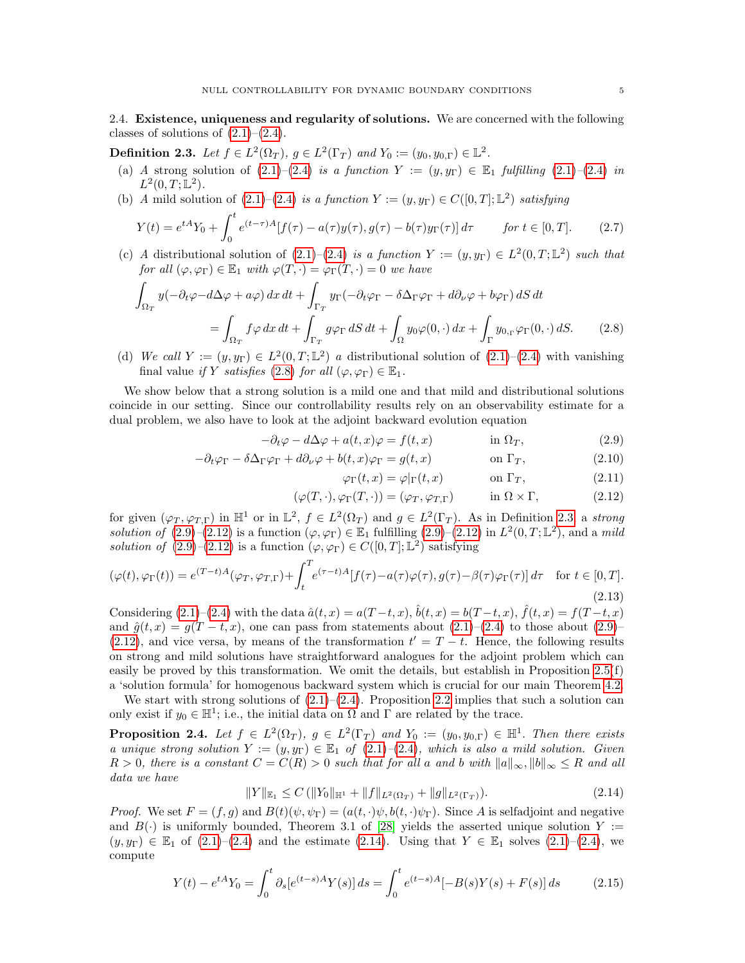<span id="page-4-8"></span>2.4. Existence, uniqueness and regularity of solutions. We are concerned with the following classes of solutions of  $(2.1)$ – $(2.4)$ .

<span id="page-4-1"></span>**Definition 2.3.** Let  $f \in L^2(\Omega_T)$ ,  $g \in L^2(\Gamma_T)$  and  $Y_0 := (y_0, y_{0,\Gamma}) \in \mathbb{L}^2$ .

- (a) A strong solution of  $(2.1)–(2.4)$  $(2.1)–(2.4)$  is a function  $Y := (y, y_\Gamma) \in \mathbb{E}_1$  fulfilling  $(2.1)–(2.4)$  $(2.1)–(2.4)$  in  $L^2(0,T;\mathbb{L}^2)$ .
- (b) A mild solution of  $(2.1)$ – $(2.4)$  is a function  $Y := (y, y_\Gamma) \in C([0, T]; \mathbb{L}^2)$  satisfying

$$
Y(t) = e^{tA}Y_0 + \int_0^t e^{(t-\tau)A} [f(\tau) - a(\tau)y(\tau), g(\tau) - b(\tau)y_\Gamma(\tau)] d\tau \qquad \text{for } t \in [0, T]. \tag{2.7}
$$

(c) A distributional solution of  $(2.1)$ – $(2.4)$  is a function  $Y := (y, y_\Gamma) \in L^2(0,T;\mathbb{L}^2)$  such that for all  $(\varphi, \varphi_{\Gamma}) \in \mathbb{E}_1$  with  $\varphi(T, \cdot) = \varphi_{\Gamma}(T, \cdot) = 0$  we have

$$
\int_{\Omega_T} y(-\partial_t \varphi - d\Delta \varphi + a\varphi) dx dt + \int_{\Gamma_T} y_\Gamma(-\partial_t \varphi_\Gamma - \delta \Delta_\Gamma \varphi_\Gamma + d\partial_\nu \varphi + b\varphi_\Gamma) dS dt
$$
\n
$$
= \int_{\Omega_T} f \varphi dx dt + \int_{\Gamma_T} g \varphi_\Gamma dS dt + \int_{\Omega} y_0 \varphi(0, \cdot) dx + \int_{\Gamma} y_{0, \Gamma} \varphi_\Gamma(0, \cdot) dS. \tag{2.8}
$$

(d) We call  $Y := (y, y_\Gamma) \in L^2(0,T;\mathbb{L}^2)$  a distributional solution of  $(2.1)$ – $(2.4)$  with vanishing final value if Y satisfies [\(2.8\)](#page-4-0) for all  $(\varphi, \varphi_{\Gamma}) \in \mathbb{E}_1$ .

We show below that a strong solution is a mild one and that mild and distributional solutions coincide in our setting. Since our controllability results rely on an observability estimate for a dual problem, we also have to look at the adjoint backward evolution equation

$$
-\partial_t \varphi - d\Delta \varphi + a(t, x)\varphi = f(t, x) \qquad \text{in } \Omega_T,
$$
\n(2.9)

$$
-\partial_t \varphi_{\Gamma} - \delta \Delta_{\Gamma} \varphi_{\Gamma} + d \partial_{\nu} \varphi + b(t, x) \varphi_{\Gamma} = g(t, x) \qquad \text{on } \Gamma_T,
$$
\n(2.10)

<span id="page-4-3"></span><span id="page-4-2"></span><span id="page-4-0"></span>
$$
\varphi_{\Gamma}(t,x) = \varphi|_{\Gamma}(t,x) \qquad \text{on } \Gamma_T, \tag{2.11}
$$

$$
(\varphi(T,\cdot),\varphi_{\Gamma}(T,\cdot))=(\varphi_T,\varphi_{T,\Gamma}) \qquad \text{in } \Omega \times \Gamma, \tag{2.12}
$$

for given  $(\varphi_T, \varphi_{T,\Gamma})$  in  $\mathbb{H}^1$  or in  $\mathbb{L}^2$ ,  $f \in L^2(\Omega_T)$  and  $g \in L^2(\Gamma_T)$ . As in Definition [2.3,](#page-4-1) a strong solution of  $(2.9)$ – $(2.12)$  is a function  $(\varphi, \varphi_{\Gamma}) \in \mathbb{E}_1$  fulfilling  $(2.9)$ – $(2.12)$  in  $L^2(0,T;\mathbb{L}^2)$ , and a mild solution of  $(2.9)$ - $(2.12)$  is a function  $(\varphi, \varphi_{\Gamma}) \in C([0, T]; \mathbb{L}^2)$  satisfying

<span id="page-4-7"></span>
$$
(\varphi(t), \varphi_{\Gamma}(t)) = e^{(T-t)A}(\varphi_T, \varphi_{T,\Gamma}) + \int_t^T e^{(\tau-t)A}[f(\tau) - a(\tau)\varphi(\tau), g(\tau) - \beta(\tau)\varphi_{\Gamma}(\tau)] d\tau \quad \text{for } t \in [0, T].
$$
\n(2.13)

Considering [\(2.1\)](#page-2-1)–[\(2.4\)](#page-2-2) with the data  $\hat{a}(t, x) = a(T - t, x)$ ,  $\hat{b}(t, x) = b(T - t, x)$ ,  $\hat{f}(t, x) = f(T - t, x)$ and  $\hat{g}(t,x) = g(T-t,x)$ , one can pass from statements about  $(2.1)$ – $(2.4)$  to those about  $(2.9)$ – [\(2.12\)](#page-4-3), and vice versa, by means of the transformation  $t' = T - t$ . Hence, the following results on strong and mild solutions have straightforward analogues for the adjoint problem which can easily be proved by this transformation. We omit the details, but establish in Proposition  $2.5(f)$ a 'solution formula' for homogenous backward system which is crucial for our main Theorem [4.2.](#page-15-0)

We start with strong solutions of  $(2.1)$ – $(2.4)$ . Proposition [2.2](#page-3-2) implies that such a solution can only exist if  $y_0 \in \mathbb{H}^1$ ; i.e., the initial data on  $\Omega$  and  $\Gamma$  are related by the trace.

<span id="page-4-6"></span>**Proposition 2.4.** Let  $f \in L^2(\Omega_T)$ ,  $g \in L^2(\Gamma_T)$  and  $Y_0 := (y_0, y_{0,\Gamma}) \in \mathbb{H}^1$ . Then there exists a unique strong solution  $Y := (y, y_\Gamma) \in \mathbb{E}_1$  of  $(2.1)-(2.4)$  $(2.1)-(2.4)$  $(2.1)-(2.4)$ , which is also a mild solution. Given  $R > 0$ , there is a constant  $C = C(R) > 0$  such that for all a and b with  $||a||_{\infty}, ||b||_{\infty} \leq R$  and all data we have

<span id="page-4-4"></span>
$$
||Y||_{\mathbb{E}_1} \le C \left( ||Y_0||_{\mathbb{H}^1} + ||f||_{L^2(\Omega_T)} + ||g||_{L^2(\Gamma_T)} \right). \tag{2.14}
$$

*Proof.* We set  $F = (f, g)$  and  $B(t)(\psi, \psi_{\Gamma}) = (a(t, \cdot)\psi, b(t, \cdot)\psi_{\Gamma})$ . Since A is selfadjoint and negative and  $B(\cdot)$  is uniformly bounded, Theorem 3.1 of [\[28\]](#page-21-21) yields the asserted unique solution Y :=  $(y, y_\Gamma) \in \mathbb{E}_1$  of  $(2.1)$ – $(2.4)$  and the estimate  $(2.14)$ . Using that  $Y \in \mathbb{E}_1$  solves  $(2.1)$ – $(2.4)$ , we compute

<span id="page-4-5"></span>
$$
Y(t) - e^{tA}Y_0 = \int_0^t \partial_s[e^{(t-s)A}Y(s)] ds = \int_0^t e^{(t-s)A}[-B(s)Y(s) + F(s)] ds \tag{2.15}
$$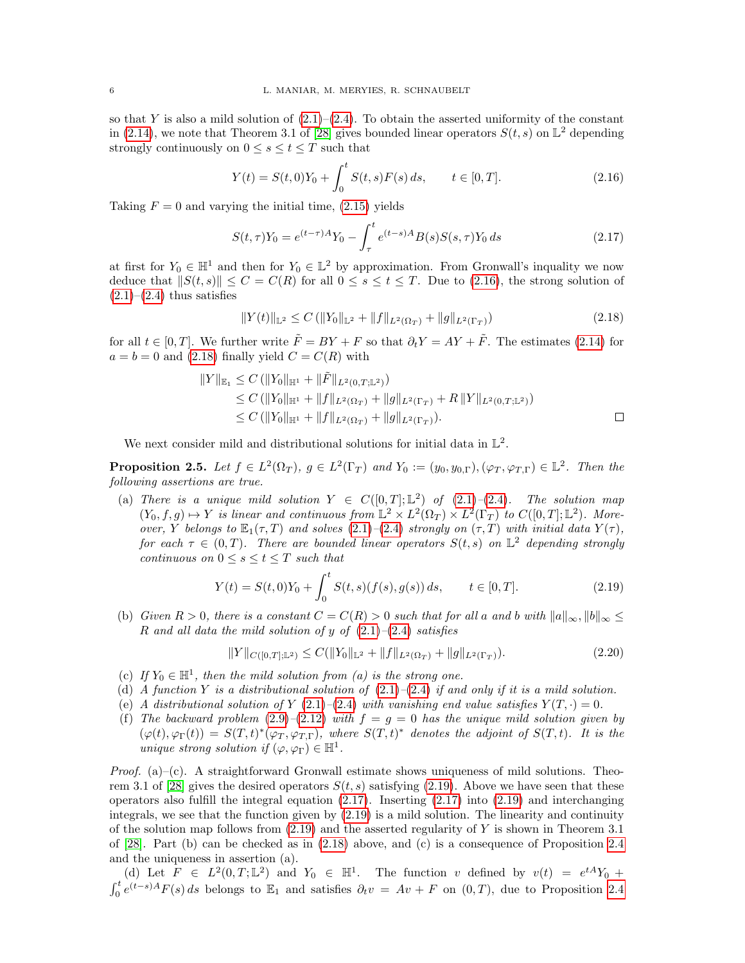so that Y is also a mild solution of  $(2.1)$ – $(2.4)$ . To obtain the asserted uniformity of the constant in [\(2.14\)](#page-4-4), we note that Theorem 3.1 of [\[28\]](#page-21-21) gives bounded linear operators  $S(t, s)$  on  $\mathbb{L}^2$  depending strongly continuously on  $0 \leq s \leq t \leq T$  such that

<span id="page-5-1"></span>
$$
Y(t) = S(t,0)Y_0 + \int_0^t S(t,s)F(s) ds, \qquad t \in [0,T].
$$
\n(2.16)

Taking  $F = 0$  and varying the initial time,  $(2.15)$  yields

<span id="page-5-4"></span>
$$
S(t,\tau)Y_0 = e^{(t-\tau)A}Y_0 - \int_{\tau}^t e^{(t-s)A}B(s)S(s,\tau)Y_0 ds
$$
\n(2.17)

at first for  $Y_0 \in \mathbb{H}^1$  and then for  $Y_0 \in \mathbb{L}^2$  by approximation. From Gronwall's inquality we now deduce that  $||S(t, s)|| \leq C = C(R)$  for all  $0 \leq s \leq t \leq T$ . Due to [\(2.16\)](#page-5-1), the strong solution of  $(2.1)$ – $(2.4)$  thus satisfies

<span id="page-5-2"></span>
$$
||Y(t)||_{\mathbb{L}^2} \le C \left( ||Y_0||_{\mathbb{L}^2} + ||f||_{L^2(\Omega_T)} + ||g||_{L^2(\Gamma_T)} \right) \tag{2.18}
$$

for all  $t \in [0, T]$ . We further write  $\tilde{F} = BY + F$  so that  $\partial_t Y = AY + \tilde{F}$ . The estimates [\(2.14\)](#page-4-4) for  $a = b = 0$  and [\(2.18\)](#page-5-2) finally yield  $C = C(R)$  with

$$
||Y||_{\mathbb{E}_1} \leq C (||Y_0||_{\mathbb{H}^1} + ||\tilde{F}||_{L^2(0,T;\mathbb{L}^2)})
$$
  
\n
$$
\leq C (||Y_0||_{\mathbb{H}^1} + ||f||_{L^2(\Omega_T)} + ||g||_{L^2(\Gamma_T)} + R ||Y||_{L^2(0,T;\mathbb{L}^2)})
$$
  
\n
$$
\leq C (||Y_0||_{\mathbb{H}^1} + ||f||_{L^2(\Omega_T)} + ||g||_{L^2(\Gamma_T)}).
$$

We next consider mild and distributional solutions for initial data in  $\mathbb{L}^2$ .

<span id="page-5-0"></span>**Proposition 2.5.** Let  $f \in L^2(\Omega_T)$ ,  $g \in L^2(\Gamma_T)$  and  $Y_0 := (y_0, y_{0,\Gamma}), (\varphi_T, \varphi_{T,\Gamma}) \in \mathbb{L}^2$ . Then the following assertions are true.

(a) There is a unique mild solution  $Y \in C([0,T]; \mathbb{L}^2)$  of  $(2.1)-(2.4)$  $(2.1)-(2.4)$  $(2.1)-(2.4)$ . The solution map  $(Y_0, f, g) \mapsto Y$  is linear and continuous from  $\mathbb{L}^2 \times L^2(\Omega_T) \times L^2(\Gamma_T)$  to  $C([0, T]; \mathbb{L}^2)$ . Moreover, Y belongs to  $\mathbb{E}_1(\tau, T)$  and solves  $(2.1)$ – $(2.4)$  strongly on  $(\tau, T)$  with initial data  $Y(\tau)$ , for each  $\tau \in (0,T)$ . There are bounded linear operators  $S(t,s)$  on  $\mathbb{L}^2$  depending strongly continuous on  $0 \leq s \leq t \leq T$  such that

<span id="page-5-3"></span>
$$
Y(t) = S(t,0)Y_0 + \int_0^t S(t,s)(f(s),g(s))\,ds, \qquad t \in [0,T].
$$
\n(2.19)

(b) Given  $R > 0$ , there is a constant  $C = C(R) > 0$  such that for all a and b with  $||a||_{\infty}, ||b||_{\infty} \leq$ R and all data the mild solution of y of  $(2.1)$ – $(2.4)$  satisfies

<span id="page-5-5"></span>
$$
||Y||_{C([0,T];\mathbb{L}^2)} \leq C(||Y_0||_{\mathbb{L}^2} + ||f||_{L^2(\Omega_T)} + ||g||_{L^2(\Gamma_T)}).
$$
\n(2.20)

- (c) If  $Y_0 \in \mathbb{H}^1$ , then the mild solution from (a) is the strong one.
- (d) A function Y is a distributional solution of  $(2.1)$ – $(2.4)$  if and only if it is a mild solution.
- (e) A distributional solution of Y [\(2.1\)](#page-2-1)–[\(2.4\)](#page-2-2) with vanishing end value satisfies  $Y(T, \cdot) = 0$ .
- (f) The backward problem  $(2.9)$ – $(2.12)$  with  $f = g = 0$  has the unique mild solution given by  $(\varphi(t), \varphi_{\Gamma}(t)) = S(T, t)^*(\varphi_T, \varphi_{T, \Gamma})$ , where  $S(T, t)^*$  denotes the adjoint of  $S(T, t)$ . It is the unique strong solution if  $(\varphi, \varphi_{\Gamma}) \in \mathbb{H}^{1}$ .

*Proof.* (a)–(c). A straightforward Gronwall estimate shows uniqueness of mild solutions. Theo-rem 3.1 of [\[28\]](#page-21-21) gives the desired operators  $S(t, s)$  satisfying [\(2.19\)](#page-5-3). Above we have seen that these operators also fulfill the integral equation  $(2.17)$ . Inserting  $(2.17)$  into  $(2.19)$  and interchanging integrals, we see that the function given by [\(2.19\)](#page-5-3) is a mild solution. The linearity and continuity of the solution map follows from [\(2.19\)](#page-5-3) and the asserted regularity of Y is shown in Theorem 3.1 of [\[28\]](#page-21-21). Part (b) can be checked as in [\(2.18\)](#page-5-2) above, and (c) is a consequence of Proposition [2.4](#page-4-6) and the uniqueness in assertion (a).

(d) Let  $F \in L^2(0,T;\mathbb{L}^2)$  and  $Y_0 \in \mathbb{H}^1$ . The function v defined by  $v(t) = e^{tA}Y_0 +$  $\int_0^t e^{(t-s)A} F(s) ds$  belongs to  $\mathbb{E}_1$  and satisfies  $\partial_t v = Av + F$  on  $(0,T)$ , due to Proposition [2.4](#page-4-6)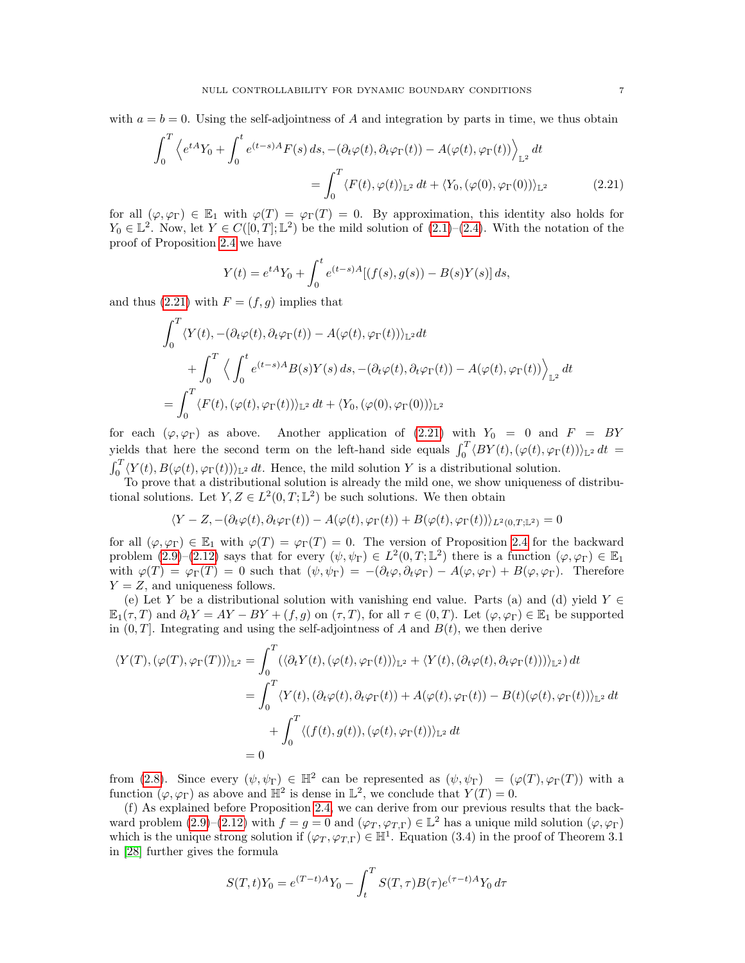with  $a = b = 0$ . Using the self-adjointness of A and integration by parts in time, we thus obtain

$$
\int_0^T \left\langle e^{tA} Y_0 + \int_0^t e^{(t-s)A} F(s) ds, -(\partial_t \varphi(t), \partial_t \varphi_\Gamma(t)) - A(\varphi(t), \varphi_\Gamma(t)) \right\rangle_{\mathbb{L}^2} dt
$$

$$
= \int_0^T \left\langle F(t), \varphi(t) \right\rangle_{\mathbb{L}^2} dt + \left\langle Y_0, (\varphi(0), \varphi_\Gamma(0)) \right\rangle_{\mathbb{L}^2} \tag{2.21}
$$

for all  $(\varphi, \varphi_{\Gamma}) \in \mathbb{E}_1$  with  $\varphi(T) = \varphi_{\Gamma}(T) = 0$ . By approximation, this identity also holds for  $Y_0 \in \mathbb{L}^2$ . Now, let  $Y \in C([0,T];\mathbb{L}^2)$  be the mild solution of  $(2.1)-(2.4)$  $(2.1)-(2.4)$ . With the notation of the proof of Proposition [2.4](#page-4-6) we have

<span id="page-6-0"></span>
$$
Y(t) = e^{tA}Y_0 + \int_0^t e^{(t-s)A} [(f(s), g(s)) - B(s)Y(s)] ds,
$$

and thus  $(2.21)$  with  $F = (f, g)$  implies that

$$
\int_0^T \langle Y(t), -(\partial_t \varphi(t), \partial_t \varphi_{\Gamma}(t)) - A(\varphi(t), \varphi_{\Gamma}(t)) \rangle_{\mathbb{L}^2} dt
$$
  
+ 
$$
\int_0^T \langle \int_0^t e^{(t-s)A} B(s) Y(s) ds, -(\partial_t \varphi(t), \partial_t \varphi_{\Gamma}(t)) - A(\varphi(t), \varphi_{\Gamma}(t)) \rangle_{\mathbb{L}^2} dt
$$
  
= 
$$
\int_0^T \langle F(t), (\varphi(t), \varphi_{\Gamma}(t)) \rangle_{\mathbb{L}^2} dt + \langle Y_0, (\varphi(0), \varphi_{\Gamma}(0)) \rangle_{\mathbb{L}^2}
$$

for each  $(\varphi, \varphi_{\Gamma})$  as above. Another application of [\(2.21\)](#page-6-0) with  $Y_0 = 0$  and  $F = BY$ yields that here the second term on the left-hand side equals  $\int_0^T \langle BY(t),(\varphi(t),\varphi_{\Gamma}(t))\rangle_{\mathbb{L}^2} dt =$  $\int_0^T \langle Y(t), B(\varphi(t), \varphi_{\Gamma}(t)) \rangle_{\mathbb{L}^2} dt$ . Hence, the mild solution Y is a distributional solution.

To prove that a distributional solution is already the mild one, we show uniqueness of distributional solutions. Let  $Y, Z \in L^2(0,T;\mathbb{L}^2)$  be such solutions. We then obtain

$$
\langle Y - Z, -(\partial_t \varphi(t), \partial_t \varphi_{\Gamma}(t)) - A(\varphi(t), \varphi_{\Gamma}(t)) + B(\varphi(t), \varphi_{\Gamma}(t)) \rangle_{L^2(0,T;\mathbb{L}^2)} = 0
$$

for all  $(\varphi, \varphi_{\Gamma}) \in \mathbb{E}_1$  with  $\varphi(T) = \varphi_{\Gamma}(T) = 0$ . The version of Proposition [2.4](#page-4-6) for the backward problem  $(2.9)-(2.12)$  $(2.9)-(2.12)$  says that for every  $(\psi, \psi_{\Gamma}) \in L^2(0,T;\mathbb{L}^2)$  there is a function  $(\varphi, \varphi_{\Gamma}) \in \mathbb{E}_1$ with  $\varphi(T) = \varphi_{\Gamma}(T) = 0$  such that  $(\psi, \psi_{\Gamma}) = -(\partial_t \varphi, \partial_t \varphi_{\Gamma}) - A(\varphi, \varphi_{\Gamma}) + B(\varphi, \varphi_{\Gamma})$ . Therefore  $Y = Z$ , and uniqueness follows.

(e) Let Y be a distributional solution with vanishing end value. Parts (a) and (d) yield  $Y \in$  $\mathbb{E}_1(\tau, T)$  and  $\partial_t Y = AY - BY + (f, g)$  on  $(\tau, T)$ , for all  $\tau \in (0, T)$ . Let  $(\varphi, \varphi_{\Gamma}) \in \mathbb{E}_1$  be supported in  $(0, T]$ . Integrating and using the self-adjointness of A and  $B(t)$ , we then derive

$$
\langle Y(T), (\varphi(T), \varphi_{\Gamma}(T)) \rangle_{\mathbb{L}^{2}} = \int_{0}^{T} (\langle \partial_{t} Y(t), (\varphi(t), \varphi_{\Gamma}(t)) \rangle_{\mathbb{L}^{2}} + \langle Y(t), (\partial_{t} \varphi(t), \partial_{t} \varphi_{\Gamma}(t)) \rangle_{\mathbb{L}^{2}}) dt
$$
  
\n
$$
= \int_{0}^{T} \langle Y(t), (\partial_{t} \varphi(t), \partial_{t} \varphi_{\Gamma}(t)) + A(\varphi(t), \varphi_{\Gamma}(t)) - B(t)(\varphi(t), \varphi_{\Gamma}(t)) \rangle_{\mathbb{L}^{2}} dt
$$
  
\n
$$
+ \int_{0}^{T} \langle (f(t), g(t)), (\varphi(t), \varphi_{\Gamma}(t)) \rangle_{\mathbb{L}^{2}} dt
$$
  
\n
$$
= 0
$$

from [\(2.8\)](#page-4-0). Since every  $(\psi, \psi_{\Gamma}) \in \mathbb{H}^2$  can be represented as  $(\psi, \psi_{\Gamma}) = (\varphi(T), \varphi_{\Gamma}(T))$  with a function  $(\varphi, \varphi_{\Gamma})$  as above and  $\mathbb{H}^2$  is dense in  $\mathbb{L}^2$ , we conclude that  $Y(T) = 0$ .

(f) As explained before Proposition [2.4,](#page-4-6) we can derive from our previous results that the backward problem  $(2.9)$ – $(2.12)$  with  $f = g = 0$  and  $(\varphi_T, \varphi_{T, \Gamma}) \in \mathbb{L}^2$  has a unique mild solution  $(\varphi, \varphi_{\Gamma})$ which is the unique strong solution if  $(\varphi_T, \varphi_{T,\Gamma}) \in \mathbb{H}^1$ . Equation (3.4) in the proof of Theorem 3.1 in [\[28\]](#page-21-21) further gives the formula

$$
S(T,t)Y_0 = e^{(T-t)A}Y_0 - \int_t^T S(T,\tau)B(\tau)e^{(\tau-t)A}Y_0 d\tau
$$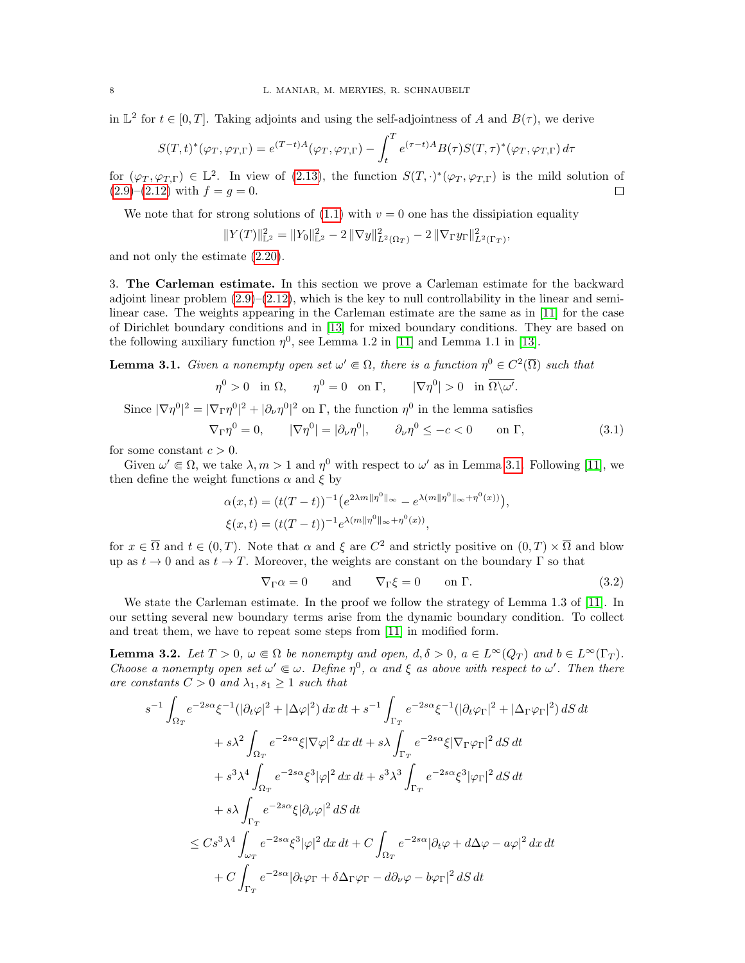in  $\mathbb{L}^2$  for  $t \in [0, T]$ . Taking adjoints and using the self-adjointness of A and  $B(\tau)$ , we derive

$$
S(T,t)^*(\varphi_T,\varphi_{T,\Gamma})=e^{(T-t)A}(\varphi_T,\varphi_{T,\Gamma})-\int_t^T e^{(\tau-t)A}B(\tau)S(T,\tau)^*(\varphi_T,\varphi_{T,\Gamma})\,d\tau
$$

for  $(\varphi_T, \varphi_{T,\Gamma}) \in \mathbb{L}^2$ . In view of [\(2.13\)](#page-4-7), the function  $S(T,\cdot)^*(\varphi_T, \varphi_{T,\Gamma})$  is the mild solution of  $(2.9)$ – $(2.12)$  with  $f = g = 0$ .  $\Box$ 

We note that for strong solutions of  $(1.1)$  with  $v = 0$  one has the dissipiation equality

$$
||Y(T)||_{\mathbb{L}^2}^2 = ||Y_0||_{\mathbb{L}^2}^2 - 2||\nabla y||_{L^2(\Omega_T)}^2 - 2||\nabla_{\Gamma} y_{\Gamma}||_{L^2(\Gamma_T)}^2,
$$

and not only the estimate [\(2.20\)](#page-5-5).

<span id="page-7-1"></span>3. The Carleman estimate. In this section we prove a Carleman estimate for the backward adjoint linear problem  $(2.9)$ – $(2.12)$ , which is the key to null controllability in the linear and semilinear case. The weights appearing in the Carleman estimate are the same as in [\[11\]](#page-20-8) for the case of Dirichlet boundary conditions and in [\[13\]](#page-21-8) for mixed boundary conditions. They are based on the following auxiliary function  $\eta^0$ , see Lemma 1.2 in [\[11\]](#page-20-8) and Lemma 1.1 in [\[13\]](#page-21-8).

<span id="page-7-2"></span>**Lemma 3.1.** Given a nonempty open set  $\omega' \in \Omega$ , there is a function  $\eta^0 \in C^2(\overline{\Omega})$  such that

 $\eta^0 > 0 \text{ in } \Omega, \qquad \eta^0 = 0 \text{ on } \Gamma, \qquad |\nabla \eta^0| > 0 \text{ in } \overline{\Omega \setminus \omega'}.$ 

Since  $|\nabla \eta^0|^2 = |\nabla_{\Gamma} \eta^0|^2 + |\partial_{\nu} \eta^0|^2$  on  $\Gamma$ , the function  $\eta^0$  in the lemma satisfies

<span id="page-7-3"></span>
$$
\nabla_{\Gamma}\eta^{0} = 0, \qquad |\nabla\eta^{0}| = |\partial_{\nu}\eta^{0}|, \qquad \partial_{\nu}\eta^{0} \le -c < 0 \qquad \text{on } \Gamma,
$$
\n(3.1)

for some constant  $c > 0$ .

Given  $\omega' \in \Omega$ , we take  $\lambda, m > 1$  and  $\eta^0$  with respect to  $\omega'$  as in Lemma [3.1.](#page-7-2) Following [\[11\]](#page-20-8), we then define the weight functions  $\alpha$  and  $\xi$  by

$$
\alpha(x,t) = (t(T-t))^{-1} \left( e^{2\lambda m \|\eta^0\|_{\infty}} - e^{\lambda (m\|\eta^0\|_{\infty} + \eta^0(x))} \right),
$$
  

$$
\xi(x,t) = (t(T-t))^{-1} e^{\lambda (m\|\eta^0\|_{\infty} + \eta^0(x))},
$$

for  $x \in \overline{\Omega}$  and  $t \in (0,T)$ . Note that  $\alpha$  and  $\xi$  are  $C^2$  and strictly positive on  $(0,T) \times \overline{\Omega}$  and blow up as  $t \to 0$  and as  $t \to T$ . Moreover, the weights are constant on the boundary  $\Gamma$  so that

<span id="page-7-4"></span>
$$
\nabla_{\Gamma}\alpha = 0 \quad \text{and} \quad \nabla_{\Gamma}\xi = 0 \quad \text{on } \Gamma. \tag{3.2}
$$

We state the Carleman estimate. In the proof we follow the strategy of Lemma 1.3 of [\[11\]](#page-20-8). In our setting several new boundary terms arise from the dynamic boundary condition. To collect and treat them, we have to repeat some steps from [\[11\]](#page-20-8) in modified form.

<span id="page-7-0"></span>**Lemma 3.2.** Let  $T > 0$ ,  $\omega \in \Omega$  be nonempty and open,  $d, \delta > 0$ ,  $a \in L^{\infty}(Q_T)$  and  $b \in L^{\infty}(\Gamma_T)$ . Choose a nonempty open set  $\omega' \in \omega$ . Define  $\eta^0$ ,  $\alpha$  and  $\xi$  as above with respect to  $\omega'$ . Then there are constants  $C > 0$  and  $\lambda_1, s_1 \geq 1$  such that

$$
s^{-1} \int_{\Omega_T} e^{-2s\alpha} \xi^{-1} (|\partial_t \varphi|^2 + |\Delta \varphi|^2) dx dt + s^{-1} \int_{\Gamma_T} e^{-2s\alpha} \xi^{-1} (|\partial_t \varphi_{\Gamma}|^2 + |\Delta_{\Gamma} \varphi_{\Gamma}|^2) dS dt
$$
  
+  $s\lambda^2 \int_{\Omega_T} e^{-2s\alpha} \xi |\nabla \varphi|^2 dx dt + s\lambda \int_{\Gamma_T} e^{-2s\alpha} \xi |\nabla_{\Gamma} \varphi_{\Gamma}|^2 dS dt$   
+  $s^3 \lambda^4 \int_{\Omega_T} e^{-2s\alpha} \xi^3 |\varphi|^2 dx dt + s^3 \lambda^3 \int_{\Gamma_T} e^{-2s\alpha} \xi^3 |\varphi_{\Gamma}|^2 dS dt$   
+  $s\lambda \int_{\Gamma_T} e^{-2s\alpha} \xi |\partial_\nu \varphi|^2 dS dt$   
 $\leq C s^3 \lambda^4 \int_{\omega_T} e^{-2s\alpha} \xi^3 |\varphi|^2 dx dt + C \int_{\Omega_T} e^{-2s\alpha} |\partial_t \varphi + d\Delta \varphi - a\varphi|^2 dx dt$   
+  $C \int_{\Gamma_T} e^{-2s\alpha} |\partial_t \varphi_{\Gamma} + \delta \Delta_{\Gamma} \varphi_{\Gamma} - d\partial_\nu \varphi - b\varphi_{\Gamma}|^2 dS dt$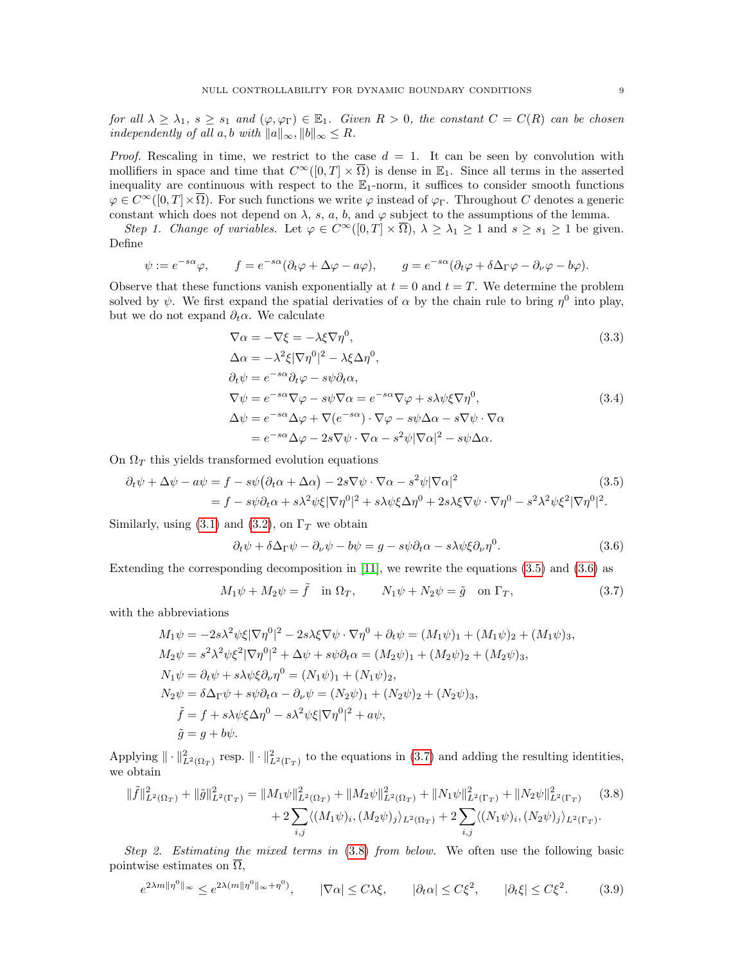for all  $\lambda \geq \lambda_1$ ,  $s \geq s_1$  and  $(\varphi, \varphi_{\Gamma}) \in \mathbb{E}_1$ . Given  $R > 0$ , the constant  $C = C(R)$  can be chosen independently of all a, b with  $||a||_{\infty}$ ,  $||b||_{\infty} \leq R$ .

*Proof.* Rescaling in time, we restrict to the case  $d = 1$ . It can be seen by convolution with mollifiers in space and time that  $C^{\infty}([0,T] \times \overline{\Omega})$  is dense in  $\mathbb{E}_1$ . Since all terms in the asserted inequality are continuous with respect to the  $E_1$ -norm, it suffices to consider smooth functions  $\varphi \in C^{\infty}([0,T] \times \overline{\Omega})$ . For such functions we write  $\varphi$  instead of  $\varphi_{\Gamma}$ . Throughout C denotes a generic constant which does not depend on  $\lambda$ , s, a, b, and  $\varphi$  subject to the assumptions of the lemma.

Step 1. Change of variables. Let  $\varphi \in C^{\infty}([0, T] \times \overline{\Omega})$ ,  $\lambda \geq \lambda_1 \geq 1$  and  $s \geq s_1 \geq 1$  be given. Define

$$
\psi := e^{-s\alpha}\varphi, \qquad f = e^{-s\alpha}(\partial_t\varphi + \Delta\varphi - a\varphi), \qquad g = e^{-s\alpha}(\partial_t\varphi + \delta\Delta_\Gamma\varphi - \partial_\nu\varphi - b\varphi).
$$

Observe that these functions vanish exponentially at  $t = 0$  and  $t = T$ . We determine the problem solved by  $\psi$ . We first expand the spatial derivaties of  $\alpha$  by the chain rule to bring  $\eta^0$  into play, but we do not expand  $\partial_t \alpha$ . We calculate

<span id="page-8-6"></span><span id="page-8-4"></span>
$$
\nabla \alpha = -\nabla \xi = -\lambda \xi \nabla \eta^{0},
$$
\n
$$
\Delta \alpha = -\lambda^{2} \xi |\nabla \eta^{0}|^{2} - \lambda \xi \Delta \eta^{0},
$$
\n
$$
\partial_{t} \psi = e^{-s\alpha} \partial_{t} \varphi - s\psi \partial_{t} \alpha,
$$
\n
$$
\nabla \psi = e^{-s\alpha} \nabla \varphi - s\psi \nabla \alpha = e^{-s\alpha} \nabla \varphi + s\lambda \psi \xi \nabla \eta^{0},
$$
\n
$$
\Delta \psi = e^{-s\alpha} \Delta \varphi + \nabla (e^{-s\alpha}) \cdot \nabla \varphi - s\psi \Delta \alpha - s \nabla \psi \cdot \nabla \alpha
$$
\n
$$
= e^{-s\alpha} \Delta \varphi - 2s \nabla \psi \cdot \nabla \alpha - s^{2} \psi |\nabla \alpha|^{2} - s\psi \Delta \alpha.
$$
\n(3.4)

On  $\Omega_T$  this yields transformed evolution equations

$$
\partial_t \psi + \Delta \psi - a\psi = f - s\psi \left( \partial_t \alpha + \Delta \alpha \right) - 2s \nabla \psi \cdot \nabla \alpha - s^2 \psi |\nabla \alpha|^2 \tag{3.5}
$$
\n
$$
= f - s\psi \partial_t \alpha + s\lambda^2 \psi \xi |\nabla \eta^0|^2 + s\lambda \psi \xi \Delta \eta^0 + 2s\lambda \xi \nabla \psi \cdot \nabla \eta^0 - s^2 \lambda^2 \psi \xi^2 |\nabla \eta^0|^2. \tag{3.5}
$$

Similarly, using [\(3.1\)](#page-7-3) and [\(3.2\)](#page-7-4), on  $\Gamma_T$  we obtain

<span id="page-8-1"></span><span id="page-8-0"></span>
$$
\partial_t \psi + \delta \Delta_\Gamma \psi - \partial_\nu \psi - b\psi = g - s\psi \partial_t \alpha - s\lambda \psi \xi \partial_\nu \eta^0. \tag{3.6}
$$

Extending the corresponding decomposition in  $[11]$ , we rewrite the equations  $(3.5)$  and  $(3.6)$  as

<span id="page-8-3"></span><span id="page-8-2"></span>
$$
M_1\psi + M_2\psi = \tilde{f} \quad \text{in } \Omega_T, \qquad N_1\psi + N_2\psi = \tilde{g} \quad \text{on } \Gamma_T,\tag{3.7}
$$

with the abbreviations

$$
M_1\psi = -2s\lambda^2\psi\xi|\nabla\eta^0|^2 - 2s\lambda\xi\nabla\psi \cdot \nabla\eta^0 + \partial_t\psi = (M_1\psi)_1 + (M_1\psi)_2 + (M_1\psi)_3, M_2\psi = s^2\lambda^2\psi\xi^2|\nabla\eta^0|^2 + \Delta\psi + s\psi\partial_t\alpha = (M_2\psi)_1 + (M_2\psi)_2 + (M_2\psi)_3, N_1\psi = \partial_t\psi + s\lambda\psi\xi\partial_\nu\eta^0 = (N_1\psi)_1 + (N_1\psi)_2, N_2\psi = \delta\Delta_\Gamma\psi + s\psi\partial_t\alpha - \partial_\nu\psi = (N_2\psi)_1 + (N_2\psi)_2 + (N_2\psi)_3, \tilde{f} = f + s\lambda\psi\xi\Delta\eta^0 - s\lambda^2\psi\xi|\nabla\eta^0|^2 + a\psi, \tilde{g} = g + b\psi.
$$

Applying  $\|\cdot\|_{L^2(\Omega_T)}^2$  resp.  $\|\cdot\|_{L^2(\Gamma_T)}^2$  to the equations in [\(3.7\)](#page-8-2) and adding the resulting identities, we obtain

$$
\|\tilde{f}\|_{L^{2}(\Omega_{T})}^{2} + \|\tilde{g}\|_{L^{2}(\Gamma_{T})}^{2} = \|M_{1}\psi\|_{L^{2}(\Omega_{T})}^{2} + \|M_{2}\psi\|_{L^{2}(\Omega_{T})}^{2} + \|N_{1}\psi\|_{L^{2}(\Gamma_{T})}^{2} + \|N_{2}\psi\|_{L^{2}(\Gamma_{T})}^{2}
$$
(3.8)  
+ 2 $\sum_{i,j}$   $\langle (M_{1}\psi)_{i}, (M_{2}\psi)_{j} \rangle_{L^{2}(\Omega_{T})} + 2\sum_{i,j}$   $\langle (N_{1}\psi)_{i}, (N_{2}\psi)_{j} \rangle_{L^{2}(\Gamma_{T})}$ .

Step 2. Estimating the mixed terms in [\(3.8\)](#page-8-3) from below. We often use the following basic pointwise estimates on  $\Omega$ ,

<span id="page-8-5"></span>
$$
e^{2\lambda m \|\eta^0\|_{\infty}} \le e^{2\lambda (m \|\eta^0\|_{\infty} + \eta^0)}, \qquad |\nabla \alpha| \le C\lambda \xi, \qquad |\partial_t \alpha| \le C\xi^2, \qquad |\partial_t \xi| \le C\xi^2. \tag{3.9}
$$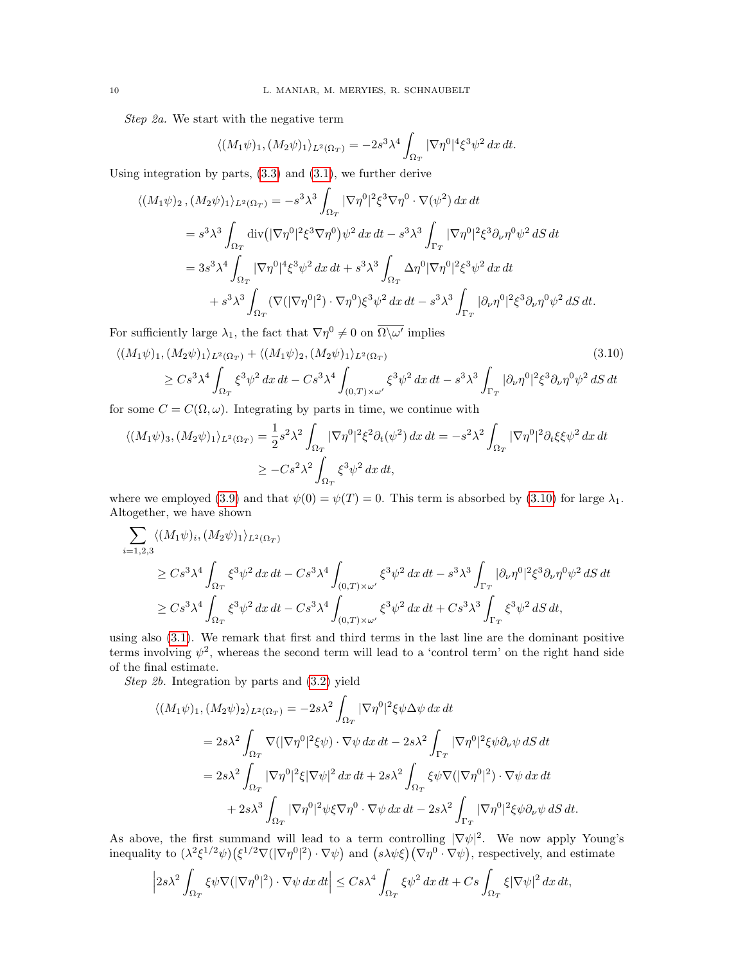Step 2a. We start with the negative term

<span id="page-9-0"></span>
$$
\langle (M_1 \psi)_1, (M_2 \psi)_1 \rangle_{L^2(\Omega_T)} = -2s^3 \lambda^4 \int_{\Omega_T} |\nabla \eta^0|^4 \xi^3 \psi^2 dx dt.
$$

Using integration by parts,  $(3.3)$  and  $(3.1)$ , we further derive

$$
\langle (M_1\psi)_2, (M_2\psi)_1 \rangle_{L^2(\Omega_T)} = -s^3 \lambda^3 \int_{\Omega_T} |\nabla \eta^0|^2 \xi^3 \nabla \eta^0 \cdot \nabla (\psi^2) \, dx \, dt
$$
  
\n
$$
= s^3 \lambda^3 \int_{\Omega_T} \text{div} \left( |\nabla \eta^0|^2 \xi^3 \nabla \eta^0 \right) \psi^2 \, dx \, dt - s^3 \lambda^3 \int_{\Gamma_T} |\nabla \eta^0|^2 \xi^3 \partial_\nu \eta^0 \psi^2 \, dS \, dt
$$
  
\n
$$
= 3s^3 \lambda^4 \int_{\Omega_T} |\nabla \eta^0|^4 \xi^3 \psi^2 \, dx \, dt + s^3 \lambda^3 \int_{\Omega_T} \Delta \eta^0 |\nabla \eta^0|^2 \xi^3 \psi^2 \, dx \, dt
$$
  
\n
$$
+ s^3 \lambda^3 \int_{\Omega_T} (\nabla (|\nabla \eta^0|^2) \cdot \nabla \eta^0) \xi^3 \psi^2 \, dx \, dt - s^3 \lambda^3 \int_{\Gamma_T} |\partial_\nu \eta^0|^2 \xi^3 \partial_\nu \eta^0 \psi^2 \, dS \, dt.
$$

For sufficiently large  $\lambda_1$ , the fact that  $\nabla \eta^0 \neq 0$  on  $\overline{\Omega \setminus \omega'}$  implies

$$
\langle (M_1\psi)_1, (M_2\psi)_1 \rangle_{L^2(\Omega_T)} + \langle (M_1\psi)_2, (M_2\psi)_1 \rangle_{L^2(\Omega_T)} \tag{3.10}
$$
\n
$$
\geq Cs^3 \lambda^4 \int_{\Omega_T} \xi^3 \psi^2 dx dt - Cs^3 \lambda^4 \int_{(0,T)\times\omega'} \xi^3 \psi^2 dx dt - s^3 \lambda^3 \int_{\Gamma_T} |\partial_\nu \eta^0|^2 \xi^3 \partial_\nu \eta^0 \psi^2 dS dt
$$

for some  $C = C(\Omega, \omega)$ . Integrating by parts in time, we continue with

$$
\langle (M_1 \psi)_3, (M_2 \psi)_1 \rangle_{L^2(\Omega_T)} = \frac{1}{2} s^2 \lambda^2 \int_{\Omega_T} |\nabla \eta^0|^2 \xi^2 \partial_t (\psi^2) \, dx \, dt = -s^2 \lambda^2 \int_{\Omega_T} |\nabla \eta^0|^2 \partial_t \xi \xi \psi^2 \, dx \, dt
$$

$$
\geq -Cs^2 \lambda^2 \int_{\Omega_T} \xi^3 \psi^2 \, dx \, dt,
$$

where we employed [\(3.9\)](#page-8-5) and that  $\psi(0) = \psi(T) = 0$ . This term is absorbed by [\(3.10\)](#page-9-0) for large  $\lambda_1$ . Altogether, we have shown

$$
\sum_{i=1,2,3} \langle (M_1 \psi)_i, (M_2 \psi)_1 \rangle_{L^2(\Omega_T)} \n\geq Cs^3 \lambda^4 \int_{\Omega_T} \xi^3 \psi^2 dx dt - Cs^3 \lambda^4 \int_{(0,T)\times\omega'} \xi^3 \psi^2 dx dt - s^3 \lambda^3 \int_{\Gamma_T} |\partial_\nu \eta^0|^2 \xi^3 \partial_\nu \eta^0 \psi^2 dS dt \n\geq Cs^3 \lambda^4 \int_{\Omega_T} \xi^3 \psi^2 dx dt - Cs^3 \lambda^4 \int_{(0,T)\times\omega'} \xi^3 \psi^2 dx dt + Cs^3 \lambda^3 \int_{\Gamma_T} \xi^3 \psi^2 dS dt,
$$

using also [\(3.1\)](#page-7-3). We remark that first and third terms in the last line are the dominant positive terms involving  $\psi^2$ , whereas the second term will lead to a 'control term' on the right hand side of the final estimate.

Step 2b. Integration by parts and [\(3.2\)](#page-7-4) yield

$$
\langle (M_1\psi)_1, (M_2\psi)_2 \rangle_{L^2(\Omega_T)} = -2s\lambda^2 \int_{\Omega_T} |\nabla \eta^0|^2 \xi \psi \Delta \psi \, dx \, dt
$$
  
\n
$$
= 2s\lambda^2 \int_{\Omega_T} \nabla (|\nabla \eta^0|^2 \xi \psi) \cdot \nabla \psi \, dx \, dt - 2s\lambda^2 \int_{\Gamma_T} |\nabla \eta^0|^2 \xi \psi \partial_\nu \psi \, dS \, dt
$$
  
\n
$$
= 2s\lambda^2 \int_{\Omega_T} |\nabla \eta^0|^2 \xi |\nabla \psi|^2 \, dx \, dt + 2s\lambda^2 \int_{\Omega_T} \xi \psi \nabla (|\nabla \eta^0|^2) \cdot \nabla \psi \, dx \, dt
$$
  
\n
$$
+ 2s\lambda^3 \int_{\Omega_T} |\nabla \eta^0|^2 \psi \xi \nabla \eta^0 \cdot \nabla \psi \, dx \, dt - 2s\lambda^2 \int_{\Gamma_T} |\nabla \eta^0|^2 \xi \psi \partial_\nu \psi \, dS \, dt.
$$

As above, the first summand will lead to a term controlling  $|\nabla \psi|^2$ . We now apply Young's inequality to  $(\lambda^2 \xi^{1/2} \psi) (\xi^{1/2} \nabla (\nabla \eta^0)^2) \cdot \nabla \psi)$  and  $(s \lambda \psi \xi) (\nabla \eta^0 \cdot \nabla \psi)$ , respectively, and estimate

$$
\left|2s\lambda^2\int_{\Omega_T}\xi\psi\nabla(|\nabla\eta^0|^2)\cdot\nabla\psi\,dx\,dt\right|\leq Cs\lambda^4\int_{\Omega_T}\xi\psi^2\,dx\,dt+Cs\int_{\Omega_T}\xi|\nabla\psi|^2\,dx\,dt,
$$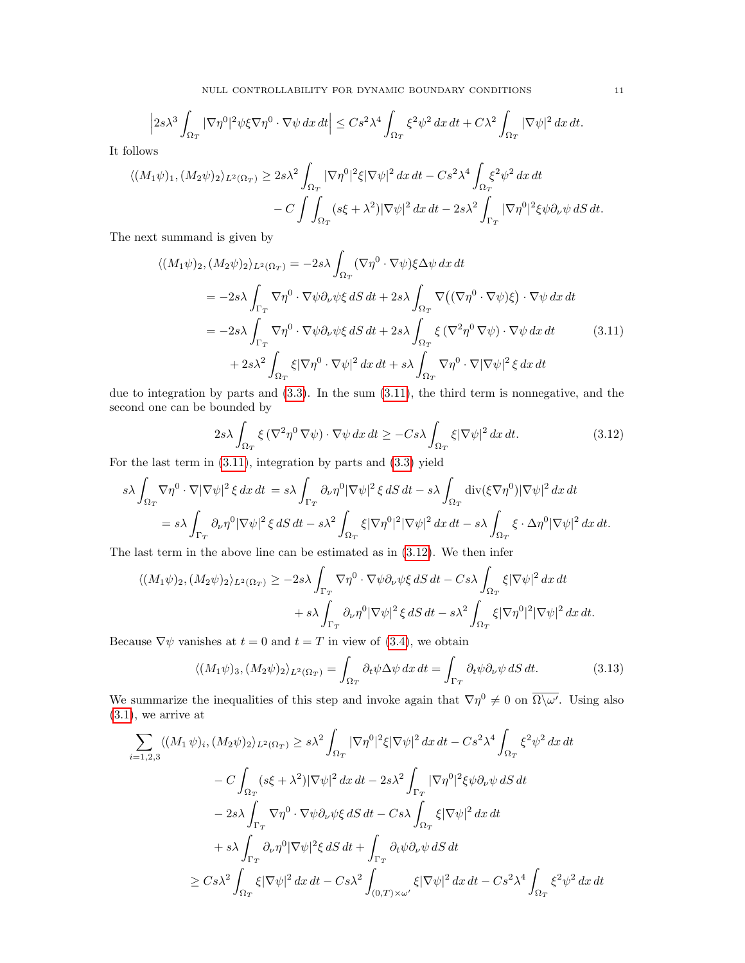$$
\left|2s\lambda^3\int_{\Omega_T}|\nabla\eta^0|^2\psi\xi\nabla\eta^0\cdot\nabla\psi\,dx\,dt\right|\leq Cs^2\lambda^4\int_{\Omega_T}\xi^2\psi^2\,dx\,dt+ C\lambda^2\int_{\Omega_T}|\nabla\psi|^2\,dx\,dt.
$$

It follows

$$
\langle (M_1\psi)_1, (M_2\psi)_2 \rangle_{L^2(\Omega_T)} \ge 2s\lambda^2 \int_{\Omega_T} |\nabla \eta^0|^2 \xi |\nabla \psi|^2 dx dt - Cs^2 \lambda^4 \int_{\Omega_T} \xi^2 \psi^2 dx dt
$$
  

$$
- C \int \int_{\Omega_T} (s\xi + \lambda^2) |\nabla \psi|^2 dx dt - 2s\lambda^2 \int_{\Gamma_T} |\nabla \eta^0|^2 \xi \psi \partial_\nu \psi dS dt.
$$

The next summand is given by

$$
\langle (M_1 \psi)_2, (M_2 \psi)_2 \rangle_{L^2(\Omega_T)} = -2s\lambda \int_{\Omega_T} (\nabla \eta^0 \cdot \nabla \psi) \xi \Delta \psi \, dx \, dt
$$
  
\n
$$
= -2s\lambda \int_{\Gamma_T} \nabla \eta^0 \cdot \nabla \psi \partial_\nu \psi \xi \, dS \, dt + 2s\lambda \int_{\Omega_T} \nabla ((\nabla \eta^0 \cdot \nabla \psi) \xi) \cdot \nabla \psi \, dx \, dt
$$
  
\n
$$
= -2s\lambda \int_{\Gamma_T} \nabla \eta^0 \cdot \nabla \psi \partial_\nu \psi \xi \, dS \, dt + 2s\lambda \int_{\Omega_T} \xi (\nabla^2 \eta^0 \nabla \psi) \cdot \nabla \psi \, dx \, dt \qquad (3.11)
$$
  
\n
$$
+ 2s\lambda^2 \int_{\Omega_T} \xi |\nabla \eta^0 \cdot \nabla \psi|^2 \, dx \, dt + s\lambda \int_{\Omega_T} \nabla \eta^0 \cdot \nabla |\nabla \psi|^2 \xi \, dx \, dt
$$

due to integration by parts and  $(3.3)$ . In the sum  $(3.11)$ , the third term is nonnegative, and the second one can be bounded by

<span id="page-10-1"></span><span id="page-10-0"></span>
$$
2s\lambda \int_{\Omega_T} \xi (\nabla^2 \eta^0 \nabla \psi) \cdot \nabla \psi \, dx \, dt \ge -Cs\lambda \int_{\Omega_T} \xi |\nabla \psi|^2 \, dx \, dt. \tag{3.12}
$$

For the last term in [\(3.11\)](#page-10-0), integration by parts and [\(3.3\)](#page-8-4) yield

$$
s\lambda \int_{\Omega_T} \nabla \eta^0 \cdot \nabla |\nabla \psi|^2 \xi \, dx \, dt = s\lambda \int_{\Gamma_T} \partial_\nu \eta^0 |\nabla \psi|^2 \xi \, dS \, dt - s\lambda \int_{\Omega_T} \text{div}(\xi \nabla \eta^0) |\nabla \psi|^2 \, dx \, dt
$$
  
=  $s\lambda \int_{\Gamma_T} \partial_\nu \eta^0 |\nabla \psi|^2 \xi \, dS \, dt - s\lambda^2 \int_{\Omega_T} \xi |\nabla \eta^0|^2 |\nabla \psi|^2 \, dx \, dt - s\lambda \int_{\Omega_T} \xi \cdot \Delta \eta^0 |\nabla \psi|^2 \, dx \, dt.$ 

The last term in the above line can be estimated as in [\(3.12\)](#page-10-1). We then infer

$$
\langle (M_1\psi)_2, (M_2\psi)_2 \rangle_{L^2(\Omega_T)} \ge -2s\lambda \int_{\Gamma_T} \nabla \eta^0 \cdot \nabla \psi \partial_\nu \psi \xi \, dS \, dt - Cs\lambda \int_{\Omega_T} \xi |\nabla \psi|^2 \, dx \, dt
$$

$$
+ s\lambda \int_{\Gamma_T} \partial_\nu \eta^0 |\nabla \psi|^2 \xi \, dS \, dt - s\lambda^2 \int_{\Omega_T} \xi |\nabla \eta^0|^2 |\nabla \psi|^2 \, dx \, dt.
$$

Because  $\nabla \psi$  vanishes at  $t = 0$  and  $t = T$  in view of [\(3.4\)](#page-8-6), we obtain

<span id="page-10-2"></span>
$$
\langle (M_1 \psi)_3, (M_2 \psi)_2 \rangle_{L^2(\Omega_T)} = \int_{\Omega_T} \partial_t \psi \Delta \psi \, dx \, dt = \int_{\Gamma_T} \partial_t \psi \partial_\nu \psi \, dS \, dt. \tag{3.13}
$$

We summarize the inequalities of this step and invoke again that  $\nabla \eta^0 \neq 0$  on  $\overline{\Omega \setminus \omega'}$ . Using also [\(3.1\)](#page-7-3), we arrive at

$$
\sum_{i=1,2,3} \langle (M_1 \psi)_i, (M_2 \psi)_2 \rangle_{L^2(\Omega_T)} \ge s\lambda^2 \int_{\Omega_T} |\nabla \eta^0|^2 \xi |\nabla \psi|^2 dx dt - Cs^2 \lambda^4 \int_{\Omega_T} \xi^2 \psi^2 dx dt
$$
  

$$
- C \int_{\Omega_T} (s\xi + \lambda^2) |\nabla \psi|^2 dx dt - 2s\lambda^2 \int_{\Gamma_T} |\nabla \eta^0|^2 \xi \psi \partial_\nu \psi dS dt
$$
  

$$
- 2s\lambda \int_{\Gamma_T} \nabla \eta^0 \cdot \nabla \psi \partial_\nu \psi \xi dS dt - Cs\lambda \int_{\Omega_T} \xi |\nabla \psi|^2 dx dt
$$
  

$$
+ s\lambda \int_{\Gamma_T} \partial_\nu \eta^0 |\nabla \psi|^2 \xi dS dt + \int_{\Gamma_T} \partial_t \psi \partial_\nu \psi dS dt
$$
  

$$
\ge Cs\lambda^2 \int_{\Omega_T} \xi |\nabla \psi|^2 dx dt - Cs\lambda^2 \int_{(0,T)\times \omega'} \xi |\nabla \psi|^2 dx dt - Cs^2 \lambda^4 \int_{\Omega_T} \xi^2 \psi^2 dx dt
$$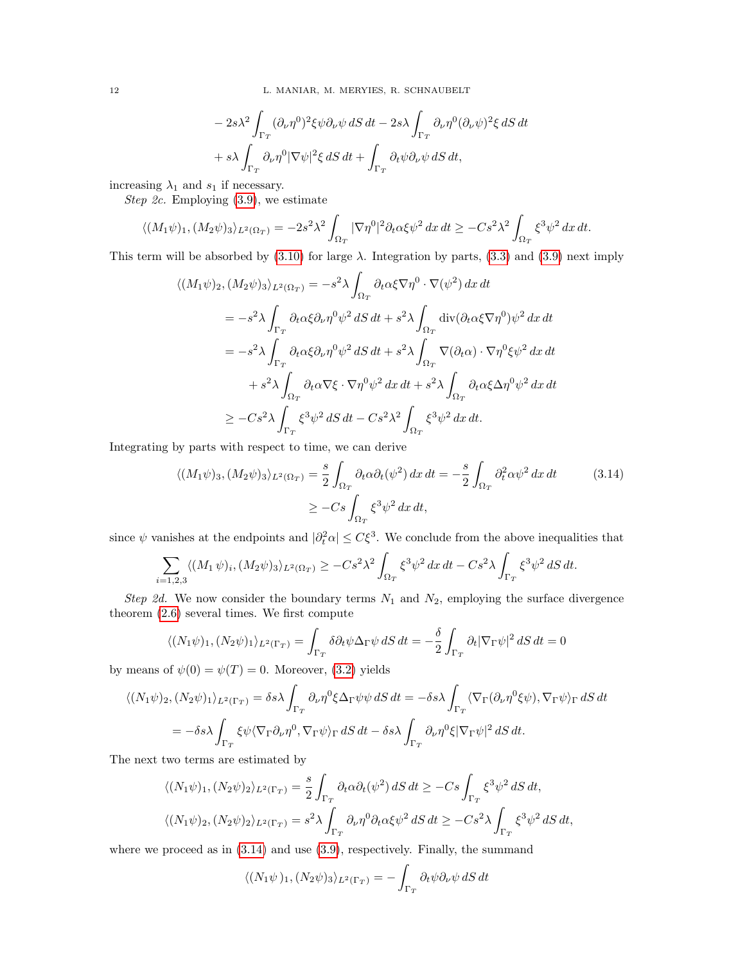12 L. MANIAR, M. MERYIES, R. SCHNAUBELT

$$
- 2s\lambda^2 \int_{\Gamma_T} (\partial_\nu \eta^0)^2 \xi \psi \partial_\nu \psi \, dS \, dt - 2s\lambda \int_{\Gamma_T} \partial_\nu \eta^0 (\partial_\nu \psi)^2 \xi \, dS \, dt
$$

$$
+ s\lambda \int_{\Gamma_T} \partial_\nu \eta^0 |\nabla \psi|^2 \xi \, dS \, dt + \int_{\Gamma_T} \partial_t \psi \partial_\nu \psi \, dS \, dt,
$$

increasing  $\lambda_1$  and  $s_1$  if necessary.

Step 2c. Employing  $(3.9)$ , we estimate

$$
\langle (M_1\psi)_1, (M_2\psi)_3 \rangle_{L^2(\Omega_T)} = -2s^2\lambda^2 \int_{\Omega_T} |\nabla \eta^0|^2 \partial_t \alpha \xi \psi^2 dx dt \geq -Cs^2\lambda^2 \int_{\Omega_T} \xi^3 \psi^2 dx dt.
$$

This term will be absorbed by  $(3.10)$  for large  $\lambda$ . Integration by parts,  $(3.3)$  and  $(3.9)$  next imply

$$
\langle (M_1 \psi)_2, (M_2 \psi)_3 \rangle_{L^2(\Omega_T)} = -s^2 \lambda \int_{\Omega_T} \partial_t \alpha \xi \nabla \eta^0 \cdot \nabla (\psi^2) \, dx \, dt
$$
  
\n
$$
= -s^2 \lambda \int_{\Gamma_T} \partial_t \alpha \xi \partial_\nu \eta^0 \psi^2 \, dS \, dt + s^2 \lambda \int_{\Omega_T} \text{div}(\partial_t \alpha \xi \nabla \eta^0) \psi^2 \, dx \, dt
$$
  
\n
$$
= -s^2 \lambda \int_{\Gamma_T} \partial_t \alpha \xi \partial_\nu \eta^0 \psi^2 \, dS \, dt + s^2 \lambda \int_{\Omega_T} \nabla(\partial_t \alpha) \cdot \nabla \eta^0 \xi \psi^2 \, dx \, dt
$$
  
\n
$$
+ s^2 \lambda \int_{\Omega_T} \partial_t \alpha \nabla \xi \cdot \nabla \eta^0 \psi^2 \, dx \, dt + s^2 \lambda \int_{\Omega_T} \partial_t \alpha \xi \Delta \eta^0 \psi^2 \, dx \, dt
$$
  
\n
$$
\geq -Cs^2 \lambda \int_{\Gamma_T} \xi^3 \psi^2 \, dS \, dt - Cs^2 \lambda^2 \int_{\Omega_T} \xi^3 \psi^2 \, dx \, dt.
$$

Integrating by parts with respect to time, we can derive

<span id="page-11-0"></span>
$$
\langle (M_1 \psi)_3, (M_2 \psi)_3 \rangle_{L^2(\Omega_T)} = \frac{s}{2} \int_{\Omega_T} \partial_t \alpha \partial_t (\psi^2) \, dx \, dt = -\frac{s}{2} \int_{\Omega_T} \partial_t^2 \alpha \psi^2 \, dx \, dt \tag{3.14}
$$
\n
$$
\geq -Cs \int_{\Omega_T} \xi^3 \psi^2 \, dx \, dt,
$$

since  $\psi$  vanishes at the endpoints and  $|\partial_t^2 \alpha| \leq C \xi^3$ . We conclude from the above inequalities that

$$
\sum_{i=1,2,3} \langle (M_1 \psi)_i, (M_2 \psi)_3 \rangle_{L^2(\Omega_T)} \geq -Cs^2\lambda^2 \int_{\Omega_T} \xi^3 \psi^2 dx dt - Cs^2\lambda \int_{\Gamma_T} \xi^3 \psi^2 dS dt.
$$

Step 2d. We now consider the boundary terms  $N_1$  and  $N_2$ , employing the surface divergence theorem [\(2.6\)](#page-3-0) several times. We first compute

$$
\langle (N_1 \psi)_1, (N_2 \psi)_1 \rangle_{L^2(\Gamma_T)} = \int_{\Gamma_T} \delta \partial_t \psi \Delta_{\Gamma} \psi \, dS \, dt = -\frac{\delta}{2} \int_{\Gamma_T} \partial_t |\nabla_{\Gamma} \psi|^2 \, dS \, dt = 0
$$

by means of  $\psi(0) = \psi(T) = 0$ . Moreover, [\(3.2\)](#page-7-4) yields

$$
\langle (N_1 \psi)_2, (N_2 \psi)_1 \rangle_{L^2(\Gamma_T)} = \delta s \lambda \int_{\Gamma_T} \partial_\nu \eta^0 \xi \Delta_\Gamma \psi \psi \, dS \, dt = -\delta s \lambda \int_{\Gamma_T} \langle \nabla_\Gamma (\partial_\nu \eta^0 \xi \psi), \nabla_\Gamma \psi \rangle_\Gamma \, dS \, dt
$$

$$
= -\delta s \lambda \int_{\Gamma_T} \xi \psi \langle \nabla_\Gamma \partial_\nu \eta^0, \nabla_\Gamma \psi \rangle_\Gamma \, dS \, dt - \delta s \lambda \int_{\Gamma_T} \partial_\nu \eta^0 \xi |\nabla_\Gamma \psi|^2 \, dS \, dt.
$$

The next two terms are estimated by

$$
\langle (N_1\psi)_1, (N_2\psi)_2 \rangle_{L^2(\Gamma_T)} = \frac{s}{2} \int_{\Gamma_T} \partial_t \alpha \partial_t (\psi^2) dS dt \ge -Cs \int_{\Gamma_T} \xi^3 \psi^2 dS dt,
$$
  

$$
\langle (N_1\psi)_2, (N_2\psi)_2 \rangle_{L^2(\Gamma_T)} = s^2 \lambda \int_{\Gamma_T} \partial_\nu \eta^0 \partial_t \alpha \xi \psi^2 dS dt \ge -Cs^2 \lambda \int_{\Gamma_T} \xi^3 \psi^2 dS dt,
$$

where we proceed as in  $(3.14)$  and use  $(3.9)$ , respectively. Finally, the summand

$$
\langle (N_1 \psi)_1, (N_2 \psi)_3 \rangle_{L^2(\Gamma_T)} = - \int_{\Gamma_T} \partial_t \psi \partial_\nu \psi \, dS \, dt
$$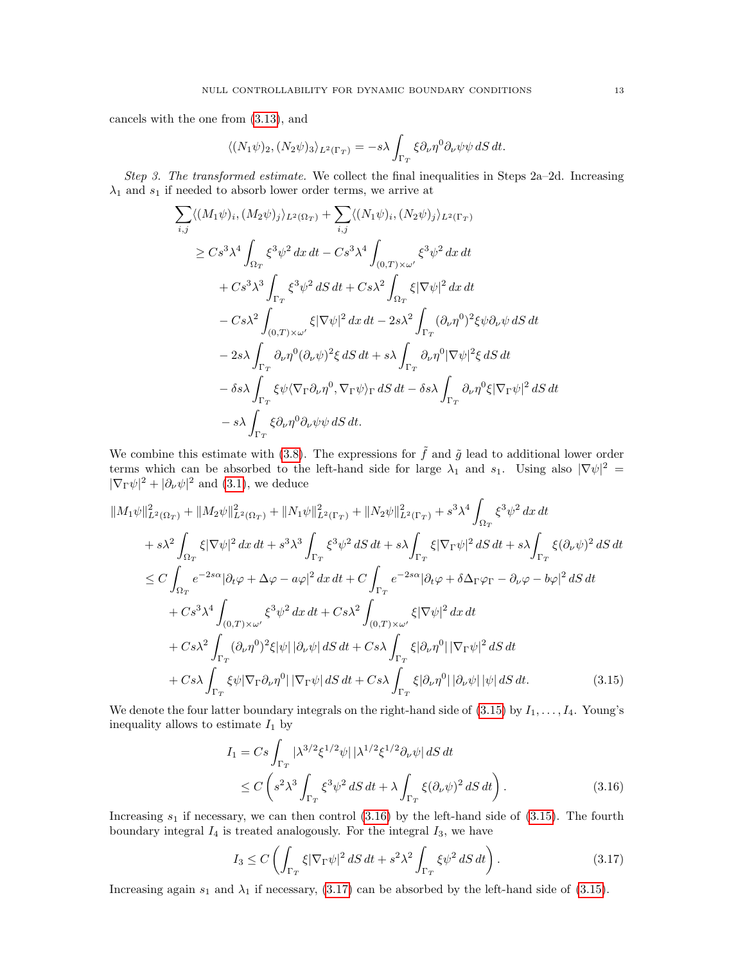cancels with the one from [\(3.13\)](#page-10-2), and

$$
\langle (N_1 \psi)_2, (N_2 \psi)_3 \rangle_{L^2(\Gamma_T)} = -s\lambda \int_{\Gamma_T} \xi \partial_\nu \eta^0 \partial_\nu \psi \psi \, dS \, dt.
$$

Step 3. The transformed estimate. We collect the final inequalities in Steps 2a–2d. Increasing  $\lambda_1$  and  $s_1$  if needed to absorb lower order terms, we arrive at

$$
\sum_{i,j} \langle (M_1 \psi)_i, (M_2 \psi)_j \rangle_{L^2(\Omega_T)} + \sum_{i,j} \langle (N_1 \psi)_i, (N_2 \psi)_j \rangle_{L^2(\Gamma_T)} \n\geq Cs^3 \lambda^4 \int_{\Omega_T} \xi^3 \psi^2 dx dt - Cs^3 \lambda^4 \int_{(0,T) \times \omega'} \xi^3 \psi^2 dx dt \n+ Cs^3 \lambda^3 \int_{\Gamma_T} \xi^3 \psi^2 dS dt + Cs \lambda^2 \int_{\Omega_T} \xi |\nabla \psi|^2 dx dt \n- Cs \lambda^2 \int_{(0,T) \times \omega'} \xi |\nabla \psi|^2 dx dt - 2s \lambda^2 \int_{\Gamma_T} (\partial_\nu \eta^0)^2 \xi \psi \partial_\nu \psi dS dt \n- 2s \lambda \int_{\Gamma_T} \partial_\nu \eta^0 (\partial_\nu \psi)^2 \xi dS dt + s \lambda \int_{\Gamma_T} \partial_\nu \eta^0 |\nabla \psi|^2 \xi dS dt \n- \delta s \lambda \int_{\Gamma_T} \xi \psi \langle \nabla_{\Gamma} \partial_\nu \eta^0, \nabla_{\Gamma} \psi \rangle_{\Gamma} dS dt - \delta s \lambda \int_{\Gamma_T} \partial_\nu \eta^0 \xi |\nabla_{\Gamma} \psi|^2 dS dt \n- s \lambda \int_{\Gamma_T} \xi \partial_\nu \eta^0 \partial_\nu \psi \psi dS dt.
$$

We combine this estimate with [\(3.8\)](#page-8-3). The expressions for  $\tilde{f}$  and  $\tilde{g}$  lead to additional lower order terms which can be absorbed to the left-hand side for large  $\lambda_1$  and  $s_1$ . Using also  $|\nabla \psi|^2$  $|\nabla_{\Gamma}\psi|^2 + |\partial_{\nu}\psi|^2$  and [\(3.1\)](#page-7-3), we deduce

$$
||M_{1}\psi||_{L^{2}(\Omega_{T})}^{2} + ||M_{2}\psi||_{L^{2}(\Omega_{T})}^{2} + ||N_{1}\psi||_{L^{2}(\Gamma_{T})}^{2} + ||N_{2}\psi||_{L^{2}(\Gamma_{T})}^{2} + s^{3}\lambda^{4} \int_{\Omega_{T}} \xi^{3}\psi^{2} dx dt
$$
  
+  $s\lambda^{2} \int_{\Omega_{T}} \xi |\nabla \psi|^{2} dx dt + s^{3}\lambda^{3} \int_{\Gamma_{T}} \xi^{3}\psi^{2} dS dt + s\lambda \int_{\Gamma_{T}} \xi |\nabla_{\Gamma}\psi|^{2} dS dt + s\lambda \int_{\Gamma_{T}} \xi (\partial_{\nu}\psi)^{2} dS dt$   
 $\leq C \int_{\Omega_{T}} e^{-2s\alpha} |\partial_{t}\varphi + \Delta\varphi - a\varphi|^{2} dx dt + C \int_{\Gamma_{T}} e^{-2s\alpha} |\partial_{t}\varphi + \delta\Delta_{\Gamma}\varphi_{\Gamma} - \partial_{\nu}\varphi - b\varphi|^{2} dS dt$   
+  $Cs^{3}\lambda^{4} \int_{(0,T)\times\omega'} \xi^{3}\psi^{2} dx dt + Cs\lambda^{2} \int_{(0,T)\times\omega'} \xi |\nabla \psi|^{2} dx dt$   
+  $Cs\lambda^{2} \int_{\Gamma_{T}} (\partial_{\nu}\eta^{0})^{2}\xi |\psi| |\partial_{\nu}\psi| dS dt + Cs\lambda \int_{\Gamma_{T}} \xi |\partial_{\nu}\eta^{0}| |\nabla_{\Gamma}\psi|^{2} dS dt$   
+  $Cs\lambda \int_{\Gamma_{T}} \xi \psi |\nabla_{\Gamma}\partial_{\nu}\eta^{0}| |\nabla_{\Gamma}\psi| dS dt + Cs\lambda \int_{\Gamma_{T}} \xi |\partial_{\nu}\eta^{0}| |\partial_{\nu}\psi| |\psi| dS dt.$  (3.15)

We denote the four latter boundary integrals on the right-hand side of  $(3.15)$  by  $I_1, \ldots, I_4$ . Young's inequality allows to estimate  $I_1$  by

<span id="page-12-1"></span><span id="page-12-0"></span>
$$
I_1 = Cs \int_{\Gamma_T} |\lambda^{3/2} \xi^{1/2} \psi| |\lambda^{1/2} \xi^{1/2} \partial_\nu \psi| dS dt
$$
  
\n
$$
\leq C \left( s^2 \lambda^3 \int_{\Gamma_T} \xi^3 \psi^2 dS dt + \lambda \int_{\Gamma_T} \xi (\partial_\nu \psi)^2 dS dt \right).
$$
 (3.16)

Increasing  $s_1$  if necessary, we can then control  $(3.16)$  by the left-hand side of  $(3.15)$ . The fourth boundary integral  $I_4$  is treated analogously. For the integral  $I_3$ , we have

<span id="page-12-2"></span>
$$
I_3 \le C \left( \int_{\Gamma_T} \xi |\nabla_{\Gamma} \psi|^2 \, dS \, dt + s^2 \lambda^2 \int_{\Gamma_T} \xi \psi^2 \, dS \, dt \right). \tag{3.17}
$$

Increasing again  $s_1$  and  $\lambda_1$  if necessary, [\(3.17\)](#page-12-2) can be absorbed by the left-hand side of [\(3.15\)](#page-12-0).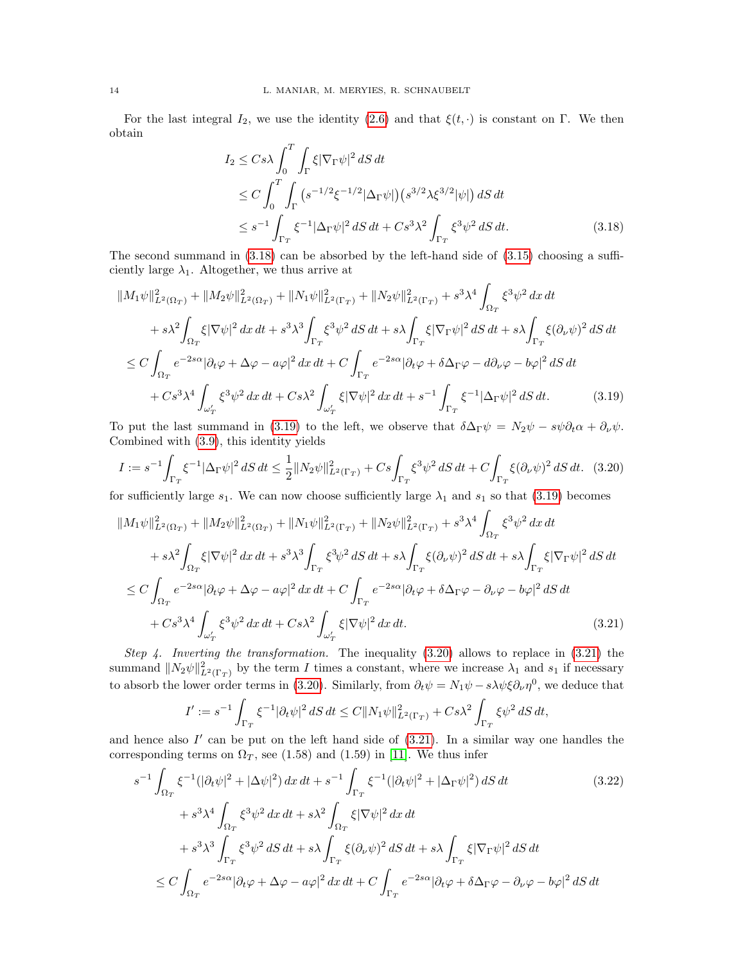For the last integral  $I_2$ , we use the identity [\(2.6\)](#page-3-0) and that  $\xi(t, \cdot)$  is constant on Γ. We then obtain

<span id="page-13-1"></span><span id="page-13-0"></span>
$$
I_2 \leq Cs\lambda \int_0^T \int_{\Gamma} \xi |\nabla_{\Gamma}\psi|^2 dS dt
$$
  
\n
$$
\leq C \int_0^T \int_{\Gamma} \left( s^{-1/2} \xi^{-1/2} |\Delta_{\Gamma}\psi| \right) \left( s^{3/2} \lambda \xi^{3/2} |\psi| \right) dS dt
$$
  
\n
$$
\leq s^{-1} \int_{\Gamma_T} \xi^{-1} |\Delta_{\Gamma}\psi|^2 dS dt + Cs^3 \lambda^2 \int_{\Gamma_T} \xi^3 \psi^2 dS dt.
$$
 (3.18)

The second summand in  $(3.18)$  can be absorbed by the left-hand side of  $(3.15)$  choosing a sufficiently large  $\lambda_1$ . Altogether, we thus arrive at

$$
\|M_{1}\psi\|_{L^{2}(\Omega_{T})}^{2} + \|M_{2}\psi\|_{L^{2}(\Omega_{T})}^{2} + \|N_{1}\psi\|_{L^{2}(\Gamma_{T})}^{2} + \|N_{2}\psi\|_{L^{2}(\Gamma_{T})}^{2} + s^{3}\lambda^{4} \int_{\Omega_{T}} \xi^{3}\psi^{2} dx dt + s\lambda^{2} \int_{\Omega_{T}} \xi |\nabla \psi|^{2} dx dt + s^{3}\lambda^{3} \int_{\Gamma_{T}} \xi^{3}\psi^{2} dS dt + s\lambda \int_{\Gamma_{T}} \xi |\nabla_{\Gamma}\psi|^{2} dS dt + s\lambda \int_{\Gamma_{T}} \xi (\partial_{\nu}\psi)^{2} dS dt \n\leq C \int_{\Omega_{T}} e^{-2s\alpha} |\partial_{t}\varphi + \Delta \varphi - a\varphi|^{2} dx dt + C \int_{\Gamma_{T}} e^{-2s\alpha} |\partial_{t}\varphi + \delta \Delta_{\Gamma}\varphi - d\partial_{\nu}\varphi - b\varphi|^{2} dS dt + Cs^{3}\lambda^{4} \int_{\omega_{T}'} \xi^{3}\psi^{2} dx dt + Cs\lambda^{2} \int_{\omega_{T}'} \xi |\nabla \psi|^{2} dx dt + s^{-1} \int_{\Gamma_{T}} \xi^{-1} |\Delta_{\Gamma}\psi|^{2} dS dt.
$$
 (3.19)

To put the last summand in [\(3.19\)](#page-13-1) to the left, we observe that  $\delta \Delta_{\Gamma} \psi = N_2 \psi - s \psi \partial_t \alpha + \partial_{\nu} \psi$ . Combined with [\(3.9\)](#page-8-5), this identity yields

$$
I := s^{-1} \int_{\Gamma_T} \xi^{-1} |\Delta_{\Gamma} \psi|^2 \, dS \, dt \le \frac{1}{2} \| N_2 \psi \|_{L^2(\Gamma_T)}^2 + Cs \int_{\Gamma_T} \xi^3 \psi^2 \, dS \, dt + C \int_{\Gamma_T} \xi (\partial_\nu \psi)^2 \, dS \, dt. \tag{3.20}
$$

for sufficiently large  $s_1$ . We can now choose sufficiently large  $\lambda_1$  and  $s_1$  so that [\(3.19\)](#page-13-1) becomes

$$
\|M_1\psi\|_{L^2(\Omega_T)}^2 + \|M_2\psi\|_{L^2(\Omega_T)}^2 + \|N_1\psi\|_{L^2(\Gamma_T)}^2 + \|N_2\psi\|_{L^2(\Gamma_T)}^2 + s^3\lambda^4 \int_{\Omega_T} \xi^3\psi^2 dx dt + s\lambda^2 \int_{\Omega_T} \xi |\nabla\psi|^2 dx dt + s^3\lambda^3 \int_{\Gamma_T} \xi^3\psi^2 dS dt + s\lambda \int_{\Gamma_T} \xi (\partial_\nu \psi)^2 dS dt + s\lambda \int_{\Gamma_T} \xi |\nabla_\Gamma \psi|^2 dS dt \n\leq C \int_{\Omega_T} e^{-2s\alpha} |\partial_t \varphi + \Delta \varphi - a\varphi|^2 dx dt + C \int_{\Gamma_T} e^{-2s\alpha} |\partial_t \varphi + \delta \Delta_\Gamma \varphi - \partial_\nu \varphi - b\varphi|^2 dS dt + Cs^3\lambda^4 \int_{\omega_T'} \xi^3\psi^2 dx dt + Cs\lambda^2 \int_{\omega_T'} \xi |\nabla \psi|^2 dx dt.
$$
\n(3.21)

Step 4. Inverting the transformation. The inequality [\(3.20\)](#page-13-2) allows to replace in [\(3.21\)](#page-13-3) the summand  $||N_2\psi||^2_{L^2(\Gamma_T)}$  by the term I times a constant, where we increase  $\lambda_1$  and  $s_1$  if necessary to absorb the lower order terms in [\(3.20\)](#page-13-2). Similarly, from  $\partial_t \psi = N_1 \psi - s \lambda \psi \xi \partial_\nu \eta^0$ , we deduce that

<span id="page-13-4"></span><span id="page-13-3"></span><span id="page-13-2"></span>
$$
I' := s^{-1} \int_{\Gamma_T} \xi^{-1} |\partial_t \psi|^2 \, dS \, dt \le C \|N_1 \psi\|_{L^2(\Gamma_T)}^2 + Cs\lambda^2 \int_{\Gamma_T} \xi \psi^2 \, dS \, dt,
$$

and hence also  $I'$  can be put on the left hand side of  $(3.21)$ . In a similar way one handles the corresponding terms on  $\Omega_T$ , see (1.58) and (1.59) in [\[11\]](#page-20-8). We thus infer

$$
s^{-1} \int_{\Omega_T} \xi^{-1} (|\partial_t \psi|^2 + |\Delta \psi|^2) \, dx \, dt + s^{-1} \int_{\Gamma_T} \xi^{-1} (|\partial_t \psi|^2 + |\Delta_\Gamma \psi|^2) \, dS \, dt \tag{3.22}
$$
\n
$$
+ s^3 \lambda^4 \int_{\Omega_T} \xi^3 \psi^2 \, dx \, dt + s \lambda^2 \int_{\Omega_T} \xi |\nabla \psi|^2 \, dx \, dt
$$
\n
$$
+ s^3 \lambda^3 \int_{\Gamma_T} \xi^3 \psi^2 \, dS \, dt + s \lambda \int_{\Gamma_T} \xi (\partial_\nu \psi)^2 \, dS \, dt + s \lambda \int_{\Gamma_T} \xi |\nabla_\Gamma \psi|^2 \, dS \, dt
$$
\n
$$
\leq C \int_{\Omega_T} e^{-2s\alpha} |\partial_t \varphi + \Delta \varphi - a\varphi|^2 \, dx \, dt + C \int_{\Gamma_T} e^{-2s\alpha} |\partial_t \varphi + \delta \Delta_\Gamma \varphi - \partial_\nu \varphi - b\varphi|^2 \, dS \, dt
$$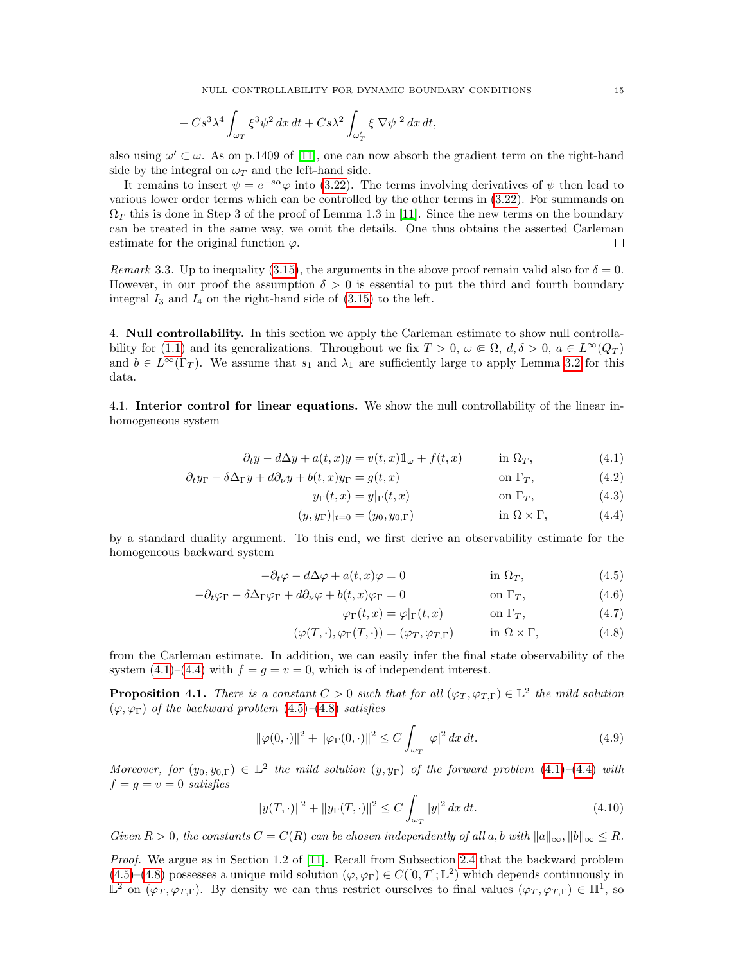NULL CONTROLLABILITY FOR DYNAMIC BOUNDARY CONDITIONS 15

$$
+ Cs^{3} \lambda^{4} \int_{\omega_{T}} \xi^{3} \psi^{2} dx dt + Cs\lambda^{2} \int_{\omega'_{T}} \xi |\nabla \psi|^{2} dx dt,
$$

also using  $\omega' \subset \omega$ . As on p.1409 of [\[11\]](#page-20-8), one can now absorb the gradient term on the right-hand side by the integral on  $\omega_T$  and the left-hand side.

It remains to insert  $\psi = e^{-s\alpha}\varphi$  into [\(3.22\)](#page-13-4). The terms involving derivatives of  $\psi$  then lead to various lower order terms which can be controlled by the other terms in [\(3.22\)](#page-13-4). For summands on  $\Omega_T$  this is done in Step 3 of the proof of Lemma 1.3 in [\[11\]](#page-20-8). Since the new terms on the boundary can be treated in the same way, we omit the details. One thus obtains the asserted Carleman estimate for the original function  $\varphi$ . □

<span id="page-14-0"></span>Remark 3.3. Up to inequality [\(3.15\)](#page-12-0), the arguments in the above proof remain valid also for  $\delta = 0$ . However, in our proof the assumption  $\delta > 0$  is essential to put the third and fourth boundary integral  $I_3$  and  $I_4$  on the right-hand side of  $(3.15)$  to the left.

<span id="page-14-2"></span>4. Null controllability. In this section we apply the Carleman estimate to show null controlla-bility for [\(1.1\)](#page-0-0) and its generalizations. Throughout we fix  $T > 0$ ,  $\omega \in \Omega$ ,  $d, \delta > 0$ ,  $a \in L^{\infty}(Q_T)$ and  $b \in L^{\infty}(\Gamma_T)$ . We assume that  $s_1$  and  $\lambda_1$  are sufficiently large to apply Lemma [3.2](#page-7-0) for this data.

4.1. Interior control for linear equations. We show the null controllability of the linear inhomogeneous system

$$
\partial_t y - d\Delta y + a(t, x)y = v(t, x)\mathbb{1}_{\omega} + f(t, x) \quad \text{in } \Omega_T,\tag{4.1}
$$

$$
\partial_t y_\Gamma - \delta \Delta_\Gamma y + d \partial_\nu y + b(t, x) y_\Gamma = g(t, x) \qquad \text{on } \Gamma_T,
$$
\n(4.2)

<span id="page-14-3"></span>
$$
y_{\Gamma}(t,x) = y|_{\Gamma}(t,x) \qquad \text{on } \Gamma_T, \tag{4.3}
$$

$$
(y, y_{\Gamma})|_{t=0} = (y_0, y_{0,\Gamma}) \quad \text{in } \Omega \times \Gamma,
$$
\n(4.4)

by a standard duality argument. To this end, we first derive an observability estimate for the homogeneous backward system

$$
-\partial_t \varphi - d\Delta \varphi + a(t, x)\varphi = 0 \qquad \text{in } \Omega_T,
$$
\n(4.5)

$$
-\partial_t \varphi_{\Gamma} - \delta \Delta_{\Gamma} \varphi_{\Gamma} + d \partial_{\nu} \varphi + b(t, x) \varphi_{\Gamma} = 0 \qquad \text{on } \Gamma_T,
$$
 (4.6)

<span id="page-14-6"></span><span id="page-14-5"></span><span id="page-14-4"></span>
$$
\varphi_{\Gamma}(t,x) = \varphi|_{\Gamma}(t,x) \qquad \text{on } \Gamma_T, \tag{4.7}
$$

$$
(\varphi(T,\cdot),\varphi_{\Gamma}(T,\cdot))=(\varphi_T,\varphi_{T,\Gamma}) \qquad \text{in } \Omega \times \Gamma,
$$
\n(4.8)

from the Carleman estimate. In addition, we can easily infer the final state observability of the system  $(4.1)$ – $(4.4)$  with  $f = q = v = 0$ , which is of independent interest.

<span id="page-14-1"></span>**Proposition 4.1.** There is a constant  $C > 0$  such that for all  $(\varphi_T, \varphi_{T, \Gamma}) \in \mathbb{L}^2$  the mild solution  $(\varphi, \varphi_{\Gamma})$  of the backward problem  $(4.5)$ – $(4.8)$  satisfies

<span id="page-14-7"></span>
$$
\|\varphi(0,\cdot)\|^2 + \|\varphi_{\Gamma}(0,\cdot)\|^2 \le C \int_{\omega_T} |\varphi|^2 \, dx \, dt. \tag{4.9}
$$

Moreover, for  $(y_0, y_{0,\Gamma}) \in \mathbb{L}^2$  the mild solution  $(y, y_{\Gamma})$  of the forward problem  $(4.1)$ – $(4.4)$  with  $f = g = v = 0$  satisfies

$$
||y(T, \cdot)||^2 + ||y_\Gamma(T, \cdot)||^2 \le C \int_{\omega_T} |y|^2 dx dt.
$$
 (4.10)

Given  $R > 0$ , the constants  $C = C(R)$  can be chosen independently of all a, b with  $||a||_{\infty}, ||b||_{\infty} \leq R$ .

Proof. We argue as in Section 1.2 of [\[11\]](#page-20-8). Recall from Subsection [2.4](#page-4-8) that the backward problem  $(4.5)-(4.8)$  $(4.5)-(4.8)$  $(4.5)-(4.8)$  possesses a unique mild solution  $(\varphi, \varphi_{\Gamma}) \in C([0, T]; \mathbb{L}^2)$  which depends continuously in  $\mathbb{L}^2$  on  $(\varphi_T, \varphi_{T,\Gamma})$ . By density we can thus restrict ourselves to final values  $(\varphi_T, \varphi_{T,\Gamma}) \in \mathbb{H}^1$ , so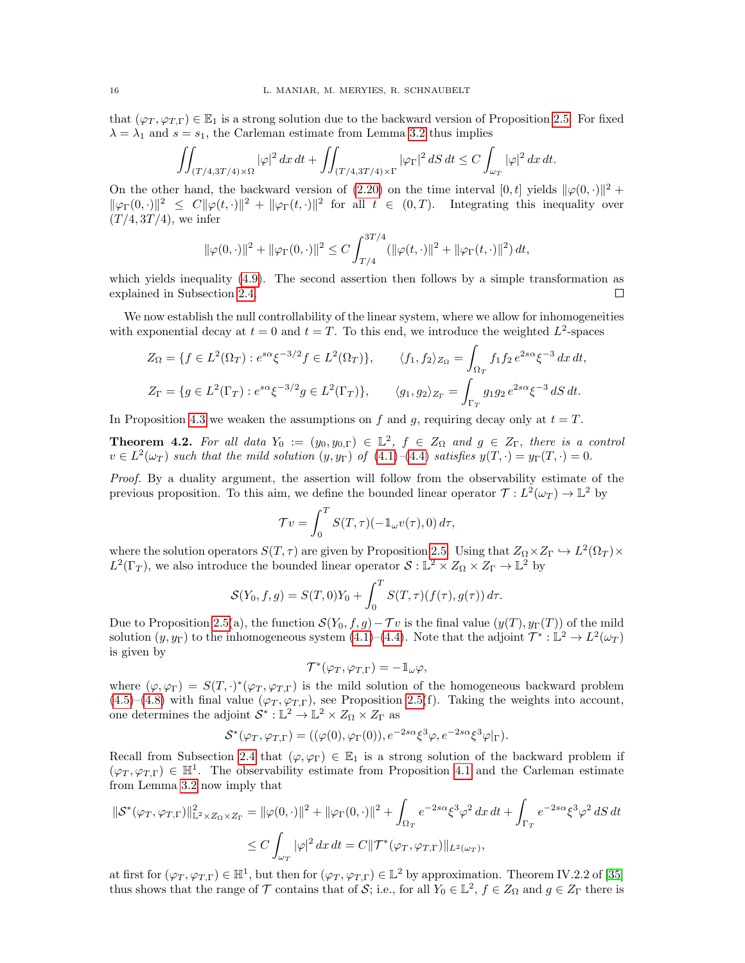that  $(\varphi_T, \varphi_{T,\Gamma}) \in \mathbb{E}_1$  is a strong solution due to the backward version of Proposition [2.5.](#page-5-0) For fixed  $\lambda = \lambda_1$  and  $s = s_1$ , the Carleman estimate from Lemma [3.2](#page-7-0) thus implies

$$
\iint_{(T/4,3T/4)\times\Omega} |\varphi|^2 \, dx \, dt + \iint_{(T/4,3T/4)\times\Gamma} |\varphi_{\Gamma}|^2 \, dS \, dt \le C \int_{\omega_T} |\varphi|^2 \, dx \, dt.
$$

On the other hand, the backward version of  $(2.20)$  on the time interval  $[0, t]$  yields  $\|\varphi(0, \cdot)\|^2 +$  $\|\varphi_{\Gamma}(0,\cdot)\|^2 \leq C \|\varphi(t,\cdot)\|^2 + \|\varphi_{\Gamma}(t,\cdot)\|^2$  for all  $t \in (0,T)$ . Integrating this inequality over  $(T/4,3T/4)$ , we infer

$$
\|\varphi(0,\cdot)\|^2 + \|\varphi_{\Gamma}(0,\cdot)\|^2 \le C \int_{T/4}^{3T/4} (\|\varphi(t,\cdot)\|^2 + \|\varphi_{\Gamma}(t,\cdot)\|^2) dt,
$$

which yields inequality  $(4.9)$ . The second assertion then follows by a simple transformation as explained in Subsection [2.4.](#page-4-8)  $\Box$ 

We now establish the null controllability of the linear system, where we allow for inhomogeneities with exponential decay at  $t = 0$  and  $t = T$ . To this end, we introduce the weighted  $L^2$ -spaces

$$
Z_{\Omega} = \{ f \in L^{2}(\Omega_{T}) : e^{s\alpha} \xi^{-3/2} f \in L^{2}(\Omega_{T}) \}, \qquad \langle f_{1}, f_{2} \rangle_{Z_{\Omega}} = \int_{\Omega_{T}} f_{1} f_{2} e^{2s\alpha} \xi^{-3} dx dt,
$$
  

$$
Z_{\Gamma} = \{ g \in L^{2}(\Gamma_{T}) : e^{s\alpha} \xi^{-3/2} g \in L^{2}(\Gamma_{T}) \}, \qquad \langle g_{1}, g_{2} \rangle_{Z_{\Gamma}} = \int_{\Gamma_{T}} g_{1} g_{2} e^{2s\alpha} \xi^{-3} dS dt.
$$

In Proposition [4.3](#page-16-0) we weaken the assumptions on f and g, requiring decay only at  $t = T$ .

<span id="page-15-0"></span>**Theorem 4.2.** For all data  $Y_0 := (y_0, y_{0,\Gamma}) \in \mathbb{L}^2$ ,  $f \in Z_{\Omega}$  and  $g \in Z_{\Gamma}$ , there is a control  $v \in L^2(\omega_T)$  such that the mild solution  $(y, y_\Gamma)$  of  $(4.1)$ - $(4.4)$  satisfies  $y(T, \cdot) = y_\Gamma(T, \cdot) = 0$ .

Proof. By a duality argument, the assertion will follow from the observability estimate of the previous proposition. To this aim, we define the bounded linear operator  $\mathcal{T}: L^2(\omega_T) \to \mathbb{L}^2$  by

$$
\mathcal{T}v = \int_0^T S(T,\tau)(-\mathbb{1}_{\omega}v(\tau),0)\,d\tau,
$$

where the solution operators  $S(T, \tau)$  are given by Proposition [2.5.](#page-5-0) Using that  $Z_{\Omega} \times Z_{\Gamma} \hookrightarrow L^2(\Omega_T) \times$  $L^2(\Gamma_T)$ , we also introduce the bounded linear operator  $S: \mathbb{L}^2 \times Z_\Omega \times Z_\Gamma \to \mathbb{L}^2$  by

$$
\mathcal{S}(Y_0,f,g) = S(T,0)Y_0 + \int_0^T S(T,\tau)(f(\tau),g(\tau)) d\tau.
$$

Due to Proposition [2.5\(](#page-5-0)a), the function  $\mathcal{S}(Y_0, f, g) - \mathcal{T} v$  is the final value  $(y(T), y_\Gamma(T))$  of the mild solution  $(y, y_\Gamma)$  to the inhomogeneous system [\(4.1\)](#page-14-3)–[\(4.4\)](#page-14-4). Note that the adjoint  $\mathcal{T}^* : \mathbb{L}^2 \to L^2(\omega_T)$ is given by

$$
\mathcal{T}^*(\varphi_T,\varphi_{T,\Gamma})=-1\!\!1_\omega\varphi,
$$

where  $(\varphi, \varphi_{\Gamma}) = S(T, \cdot)^*(\varphi_T, \varphi_{T, \Gamma})$  is the mild solution of the homogeneous backward problem  $(4.5)-(4.8)$  $(4.5)-(4.8)$  $(4.5)-(4.8)$  with final value  $(\varphi_T, \varphi_{T,\Gamma})$ , see Proposition [2.5\(](#page-5-0)f). Taking the weights into account, one determines the adjoint  $S^* : \mathbb{L}^2 \to \mathbb{L}^2 \times Z_{\Omega} \times Z_{\Gamma}$  as

$$
\mathcal{S}^*(\varphi_T, \varphi_{T,\Gamma}) = ((\varphi(0), \varphi_{\Gamma}(0)), e^{-2s\alpha} \xi^3 \varphi, e^{-2s\alpha} \xi^3 \varphi|_{\Gamma}).
$$

Recall from Subsection [2.4](#page-4-8) that  $(\varphi, \varphi_{\Gamma}) \in \mathbb{E}_1$  is a strong solution of the backward problem if  $(\varphi_T, \varphi_{T,\Gamma}) \in \mathbb{H}^1$ . The observability estimate from Proposition [4.1](#page-14-1) and the Carleman estimate from Lemma [3.2](#page-7-0) now imply that

$$
\begin{aligned} \|\mathcal{S}^*(\varphi_T, \varphi_{T,\Gamma})\|_{\mathbb{L}^2 \times Z_{\Omega} \times Z_{\Gamma}}^2 &= \|\varphi(0, \cdot)\|^2 + \|\varphi_{\Gamma}(0, \cdot)\|^2 + \int_{\Omega_T} e^{-2s\alpha} \xi^3 \varphi^2 \, dx \, dt + \int_{\Gamma_T} e^{-2s\alpha} \xi^3 \varphi^2 \, dS \, dt \\ &\leq C \int_{\omega_T} |\varphi|^2 \, dx \, dt = C \|\mathcal{T}^*(\varphi_T, \varphi_{T,\Gamma})\|_{L^2(\omega_T)}, \end{aligned}
$$

at first for  $(\varphi_T, \varphi_{T,\Gamma}) \in \mathbb{H}^1$ , but then for  $(\varphi_T, \varphi_{T,\Gamma}) \in \mathbb{L}^2$  by approximation. Theorem IV.2.2 of [\[35\]](#page-21-22) thus shows that the range of  $\mathcal T$  contains that of  $\mathcal S$ ; i.e., for all  $Y_0 \in \mathbb L^2$ ,  $f \in Z_\Omega$  and  $g \in Z_\Gamma$  there is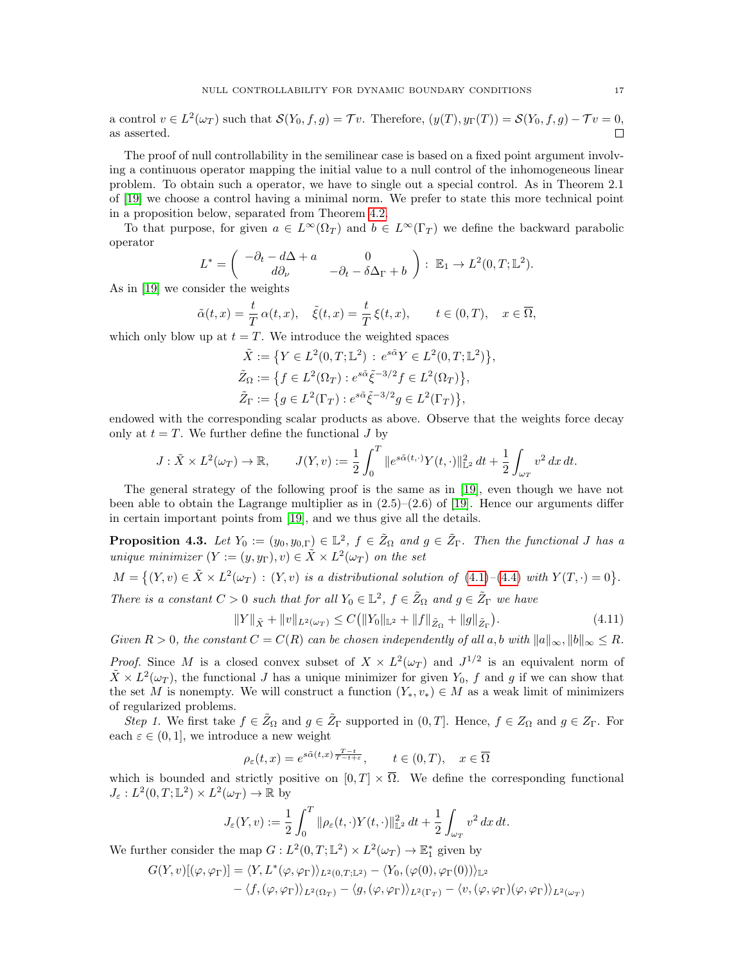a control  $v \in L^2(\omega_T)$  such that  $\mathcal{S}(Y_0, f, g) = \mathcal{T}v$ . Therefore,  $(y(T), y_\Gamma(T)) = \mathcal{S}(Y_0, f, g) - \mathcal{T}v = 0$ , as asserted.  $\Box$ 

The proof of null controllability in the semilinear case is based on a fixed point argument involving a continuous operator mapping the initial value to a null control of the inhomogeneous linear problem. To obtain such a operator, we have to single out a special control. As in Theorem 2.1 of [\[19\]](#page-21-9) we choose a control having a minimal norm. We prefer to state this more technical point in a proposition below, separated from Theorem [4.2.](#page-15-0)

To that purpose, for given  $a \in L^{\infty}(\Omega_T)$  and  $b \in L^{\infty}(\Gamma_T)$  we define the backward parabolic operator

$$
L^* = \begin{pmatrix} -\partial_t - d\Delta + a & 0 \\ d\partial_\nu & -\partial_t - \delta\Delta_\Gamma + b \end{pmatrix} : \ \mathbb{E}_1 \to L^2(0, T; \mathbb{L}^2).
$$

As in [\[19\]](#page-21-9) we consider the weights

$$
\tilde{\alpha}(t,x) = \frac{t}{T} \alpha(t,x), \quad \tilde{\xi}(t,x) = \frac{t}{T} \xi(t,x), \qquad t \in (0,T), \quad x \in \overline{\Omega},
$$

which only blow up at  $t = T$ . We introduce the weighted spaces

$$
\tilde{X} := \{ Y \in L^2(0, T; \mathbb{L}^2) : e^{s\tilde{\alpha}} Y \in L^2(0, T; \mathbb{L}^2) \}, \n\tilde{Z}_{\Omega} := \{ f \in L^2(\Omega_T) : e^{s\tilde{\alpha}} \tilde{\xi}^{-3/2} f \in L^2(\Omega_T) \}, \n\tilde{Z}_{\Gamma} := \{ g \in L^2(\Gamma_T) : e^{s\tilde{\alpha}} \tilde{\xi}^{-3/2} g \in L^2(\Gamma_T) \},
$$

endowed with the corresponding scalar products as above. Observe that the weights force decay only at  $t = T$ . We further define the functional J by

$$
J: \tilde{X} \times L^2(\omega_T) \to \mathbb{R}, \qquad J(Y, v) := \frac{1}{2} \int_0^T \|e^{s\tilde{\alpha}(t, \cdot)} Y(t, \cdot)\|_{\mathbb{L}^2}^2 dt + \frac{1}{2} \int_{\omega_T} v^2 dx dt.
$$

The general strategy of the following proof is the same as in [\[19\]](#page-21-9), even though we have not been able to obtain the Lagrange multiplier as in  $(2.5)-(2.6)$  of [\[19\]](#page-21-9). Hence our arguments differ in certain important points from [\[19\]](#page-21-9), and we thus give all the details.

<span id="page-16-0"></span>**Proposition 4.3.** Let  $Y_0 := (y_0, y_{0,\Gamma}) \in \mathbb{L}^2$ ,  $f \in \tilde{Z}_{\Omega}$  and  $g \in \tilde{Z}_{\Gamma}$ . Then the functional J has a unique minimizer  $(Y := (y, y_{\Gamma}), v) \in \tilde{X} \times L^2(\omega_T)$  on the set

$$
M = \{(Y, v) \in \tilde{X} \times L^2(\omega_T) : (Y, v) \text{ is a distributional solution of } (4.1) - (4.4) \text{ with } Y(T, \cdot) = 0\}.
$$

There is a constant  $C > 0$  such that for all  $Y_0 \in \mathbb{L}^2$ ,  $f \in \tilde{Z}_{\Omega}$  and  $g \in \tilde{Z}_{\Gamma}$  we have

<span id="page-16-1"></span>
$$
||Y||_{\tilde{X}} + ||v||_{L^{2}(\omega_{T})} \leq C(||Y_{0}||_{\mathbb{L}^{2}} + ||f||_{\tilde{Z}_{\Omega}} + ||g||_{\tilde{Z}_{\Gamma}}).
$$
\n(4.11)

Given  $R > 0$ , the constant  $C = C(R)$  can be chosen independently of all a, b with  $||a||_{\infty}, ||b||_{\infty} \leq R$ .

*Proof.* Since M is a closed convex subset of  $X \times L^2(\omega_T)$  and  $J^{1/2}$  is an equivalent norm of  $\tilde{X} \times L^2(\omega_T)$ , the functional J has a unique minimizer for given  $Y_0$ , f and g if we can show that the set M is nonempty. We will construct a function  $(Y_*, v_*) \in M$  as a weak limit of minimizers of regularized problems.

Step 1. We first take  $f \in \tilde{Z}_{\Omega}$  and  $g \in \tilde{Z}_{\Gamma}$  supported in  $(0,T]$ . Hence,  $f \in Z_{\Omega}$  and  $g \in Z_{\Gamma}$ . For each  $\varepsilon \in (0, 1]$ , we introduce a new weight

$$
\rho_{\varepsilon}(t,x) = e^{s\tilde{\alpha}(t,x)\frac{T-t}{T-t+\varepsilon}}, \qquad t \in (0,T), \quad x \in \overline{\Omega}
$$

which is bounded and strictly positive on  $[0, T] \times \overline{\Omega}$ . We define the corresponding functional  $J_{\varepsilon}: L^2(0,T;\mathbb{L}^2)\times L^2(\omega_T)\to \mathbb{R}$  by

$$
J_{\varepsilon}(Y,v) := \frac{1}{2} \int_0^T \|\rho_{\varepsilon}(t,\cdot)Y(t,\cdot)\|_{\mathbb{L}^2}^2 dt + \frac{1}{2} \int_{\omega_T} v^2 dx dt.
$$

We further consider the map  $G: L^2(0,T;\mathbb{L}^2) \times L^2(\omega_T) \to \mathbb{E}_1^*$  given by

$$
G(Y, v)[(\varphi, \varphi_{\Gamma})] = \langle Y, L^*(\varphi, \varphi_{\Gamma}) \rangle_{L^2(0,T;\mathbb{L}^2)} - \langle Y_0, (\varphi(0), \varphi_{\Gamma}(0)) \rangle_{\mathbb{L}^2} - \langle f, (\varphi, \varphi_{\Gamma}) \rangle_{L^2(\Omega_T)} - \langle g, (\varphi, \varphi_{\Gamma}) \rangle_{L^2(\Gamma_T)} - \langle v, (\varphi, \varphi_{\Gamma}) \rangle_{L^2(\omega_T)}
$$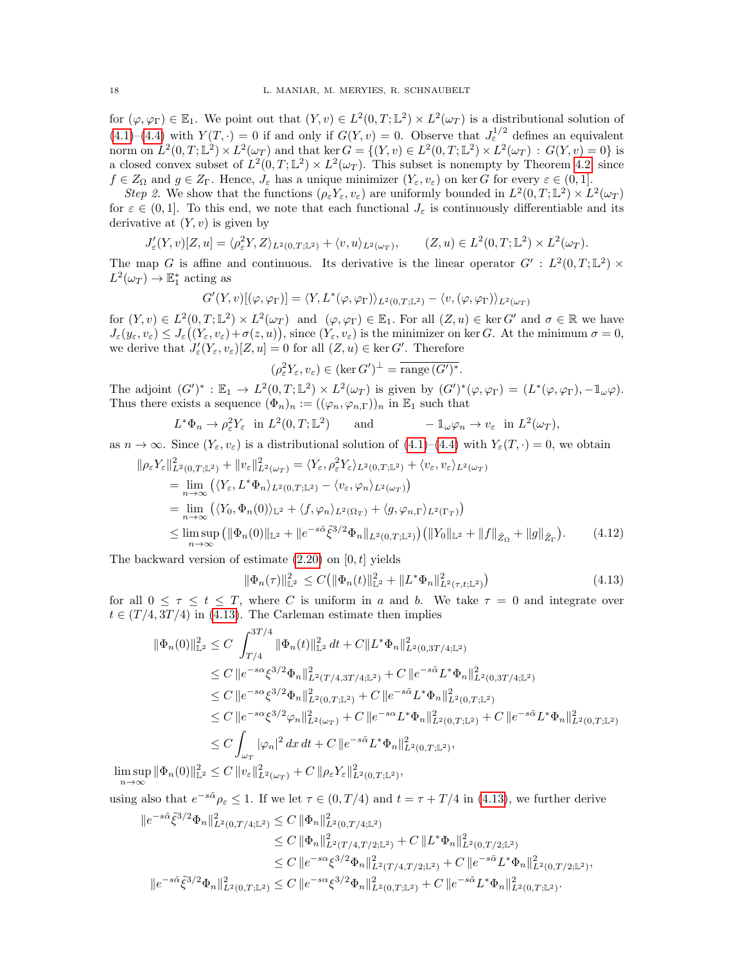for  $(\varphi, \varphi_{\Gamma}) \in \mathbb{E}_1$ . We point out that  $(Y, v) \in L^2(0, T; \mathbb{L}^2) \times L^2(\omega_T)$  is a distributional solution of  $(4.1)$ – $(4.4)$  with  $Y(T, \cdot) = 0$  if and only if  $G(Y, v) = 0$ . Observe that  $J_{\varepsilon}^{1/2}$  defines an equivalent norm on  $L^2(0,T;\mathbb{L}^2) \times L^2(\omega_T)$  and that ker  $G = \{(Y,v) \in L^2(0,T;\mathbb{L}^2) \times L^2(\omega_T) \,:\, G(Y,v) = 0\}$  is a closed convex subset of  $L^2(0,T;\mathbb{L}^2) \times L^2(\omega_T)$ . This subset is nonempty by Theorem [4.2,](#page-15-0) since  $f \in Z_{\Omega}$  and  $g \in Z_{\Gamma}$ . Hence,  $J_{\varepsilon}$  has a unique minimizer  $(Y_{\varepsilon}, v_{\varepsilon})$  on ker G for every  $\varepsilon \in (0, 1]$ .

Step 2. We show that the functions  $(\rho_{\varepsilon} Y_{\varepsilon}, v_{\varepsilon})$  are uniformly bounded in  $L^2(0,T;\mathbb{L}^2) \times L^2(\omega_T)$ for  $\varepsilon \in (0,1]$ . To this end, we note that each functional  $J_{\varepsilon}$  is continuously differentiable and its derivative at  $(Y, v)$  is given by

$$
J'_\varepsilon(Y,v)[Z,u] = \langle \rho_\varepsilon^2 Y,Z\rangle_{L^2(0,T;\mathbb{L}^2)} + \langle v,u\rangle_{L^2(\omega_T)}, \qquad (Z,u) \in L^2(0,T;\mathbb{L}^2) \times L^2(\omega_T).
$$

The map G is affine and continuous. Its derivative is the linear operator  $G': L^2(0,T;\mathbb{L}^2) \times$  $L^2(\omega_T) \to \mathbb{E}_1^*$  acting as

$$
G'(Y,v)[(\varphi,\varphi_{\Gamma})] = \langle Y, L^*(\varphi,\varphi_{\Gamma}) \rangle_{L^2(0,T;\mathbb{L}^2)} - \langle v, (\varphi,\varphi_{\Gamma}) \rangle_{L^2(\omega_T)}
$$

for  $(Y, v) \in L^2(0, T; \mathbb{L}^2) \times L^2(\omega_T)$  and  $(\varphi, \varphi_{\Gamma}) \in \mathbb{E}_1$ . For all  $(Z, u) \in \ker G'$  and  $\sigma \in \mathbb{R}$  we have  $J_{\varepsilon}(y_{\varepsilon}, v_{\varepsilon}) \leq J_{\varepsilon}((Y_{\varepsilon}, v_{\varepsilon}) + \sigma(z, u)),$  since  $(Y_{\varepsilon}, v_{\varepsilon})$  is the minimizer on ker G. At the minimum  $\sigma = 0$ , we derive that  $J'_{\varepsilon}(Y_{\varepsilon}, v_{\varepsilon})[Z, u] = 0$  for all  $(Z, u) \in \text{ker } G'$ . Therefore

$$
(\rho_{\varepsilon}^2 Y_{\varepsilon}, v_{\varepsilon}) \in (\ker G')^{\perp} = \overline{\text{range}(G')^*}.
$$

The adjoint  $(G')^* : \mathbb{E}_1 \to L^2(0,T;\mathbb{L}^2) \times L^2(\omega_T)$  is given by  $(G')^*(\varphi,\varphi_{\Gamma}) = (L^*(\varphi,\varphi_{\Gamma}),-\mathbb{1}_{\omega}\varphi)$ . Thus there exists a sequence  $(\Phi_n)_n := ((\varphi_n, \varphi_{n,\Gamma}))_n$  in  $\mathbb{E}_1$  such that

$$
L^*\Phi_n \to \rho_\varepsilon^2 Y_\varepsilon
$$
 in  $L^2(0,T;\mathbb{L}^2)$  and  $-\mathbb{1}_{\omega}\varphi_n \to v_\varepsilon$  in  $L^2(\omega_T)$ ,

as  $n \to \infty$ . Since  $(Y_{\varepsilon}, v_{\varepsilon})$  is a distributional solution of  $(4.1)$ – $(4.4)$  with  $Y_{\varepsilon}(T, \cdot) = 0$ , we obtain

$$
\|\rho_{\varepsilon}Y_{\varepsilon}\|_{L^{2}(0,T;\mathbb{L}^{2})}^{2} + \|v_{\varepsilon}\|_{L^{2}(\omega_{T})}^{2} = \langle Y_{\varepsilon}, \rho_{\varepsilon}^{2}Y_{\varepsilon} \rangle_{L^{2}(0,T;\mathbb{L}^{2})} + \langle v_{\varepsilon}, v_{\varepsilon} \rangle_{L^{2}(\omega_{T})}
$$
\n
$$
= \lim_{n \to \infty} (\langle Y_{\varepsilon}, L^{*}\Phi_{n} \rangle_{L^{2}(0,T;\mathbb{L}^{2})} - \langle v_{\varepsilon}, \varphi_{n} \rangle_{L^{2}(\omega_{T})})
$$
\n
$$
= \lim_{n \to \infty} (\langle Y_{0}, \Phi_{n}(0) \rangle_{\mathbb{L}^{2}} + \langle f, \varphi_{n} \rangle_{L^{2}(\Omega_{T})} + \langle g, \varphi_{n}, \Gamma \rangle_{L^{2}(\Gamma_{T})})
$$
\n
$$
\leq \limsup_{n \to \infty} (\|\Phi_{n}(0)\|_{\mathbb{L}^{2}} + \|e^{-s\tilde{\alpha}}\tilde{\xi}^{3/2}\Phi_{n}\|_{L^{2}(0,T;\mathbb{L}^{2})}) (\|Y_{0}\|_{\mathbb{L}^{2}} + \|f\|_{\tilde{Z}_{\Omega}} + \|g\|_{\tilde{Z}_{\Gamma}}).
$$
\n(4.12)

The backward version of estimate  $(2.20)$  on  $[0, t]$  yields

<span id="page-17-1"></span><span id="page-17-0"></span>
$$
\|\Phi_n(\tau)\|_{\mathbb{L}^2}^2 \le C \big( \|\Phi_n(t)\|_{\mathbb{L}^2}^2 + \|L^* \Phi_n\|_{L^2(\tau, t; \mathbb{L}^2)}^2 \big) \tag{4.13}
$$

for all  $0 \leq \tau \leq t \leq T$ , where C is uniform in a and b. We take  $\tau = 0$  and integrate over  $t \in (T/4, 3T/4)$  in [\(4.13\)](#page-17-0). The Carleman estimate then implies

$$
\begin{split}\n\|\Phi_n(0)\|_{\mathbb{L}^2}^2 &\leq C \int_{T/4}^{3T/4} \|\Phi_n(t)\|_{\mathbb{L}^2}^2 \, dt + C \|L^* \Phi_n\|_{L^2(0,3T/4;\mathbb{L}^2)}^2 \\
&\leq C \|e^{-s\alpha} \xi^{3/2} \Phi_n\|_{L^2(T/4,3T/4;\mathbb{L}^2)}^2 + C \|e^{-s\tilde{\alpha}} L^* \Phi_n\|_{L^2(0,3T/4;\mathbb{L}^2)}^2 \\
&\leq C \|e^{-s\alpha} \xi^{3/2} \Phi_n\|_{L^2(0,T;\mathbb{L}^2)}^2 + C \|e^{-s\tilde{\alpha}} L^* \Phi_n\|_{L^2(0,T;\mathbb{L}^2)}^2 \\
&\leq C \|e^{-s\alpha} \xi^{3/2} \varphi_n\|_{L^2(\omega_T)}^2 + C \|e^{-s\alpha} L^* \Phi_n\|_{L^2(0,T;\mathbb{L}^2)}^2 + C \|e^{-s\tilde{\alpha}} L^* \Phi_n\|_{L^2(0,T;\mathbb{L}^2)}^2 \\
&\leq C \int_{\omega_T} |\varphi_n|^2 \, dx \, dt + C \|e^{-s\tilde{\alpha}} L^* \Phi_n\|_{L^2(0,T;\mathbb{L}^2)}^2, \\
\|\Phi_n(0)\|^2 &\leq C \|e^{-\|p\|}^2 \qquad \|C\|_2 \|V\|^2\n\end{split}
$$

 $\limsup_{n\to\infty} \|\Phi_n(0)\|_{\mathbb{L}^2}^2 \leq C \|v_{\varepsilon}\|_{L^2(\omega_T)}^2 + C \| \rho_{\varepsilon} Y_{\varepsilon}\|_{L^2(0,T;\mathbb{L}^2)}^2,$ 

using also that  $e^{-s\tilde{\alpha}}\rho_{\varepsilon} \leq 1$ . If we let  $\tau \in (0, T/4)$  and  $t = \tau + T/4$  in [\(4.13\)](#page-17-0), we further derive

$$
\begin{split} \|e^{-s\tilde{\alpha}}\tilde{\xi}^{3/2}\Phi_n\|_{L^2(0,T/4;\mathbb{L}^2)}^2 &\leq C \|\Phi_n\|_{L^2(0,T/4;\mathbb{L}^2)}^2 \\ &\leq C \|\Phi_n\|_{L^2(T/4,T/2;\mathbb{L}^2)}^2 + C \, \|L^*\Phi_n\|_{L^2(0,T/2;\mathbb{L}^2)}^2 \\ &\leq C \, \|e^{-s\alpha}\xi^{3/2}\Phi_n\|_{L^2(T/4,T/2;\mathbb{L}^2)}^2 + C \, \|e^{-s\tilde{\alpha}}L^*\Phi_n\|_{L^2(0,T/2;\mathbb{L}^2)}^2, \\ \|e^{-s\tilde{\alpha}}\tilde{\xi}^{3/2}\Phi_n\|_{L^2(0,T;\mathbb{L}^2)}^2 &\leq C \, \|e^{-s\alpha}\xi^{3/2}\Phi_n\|_{L^2(0,T;\mathbb{L}^2)}^2 + C \, \|e^{-s\tilde{\alpha}}L^*\Phi_n\|_{L^2(0,T;\mathbb{L}^2)}^2. \end{split}
$$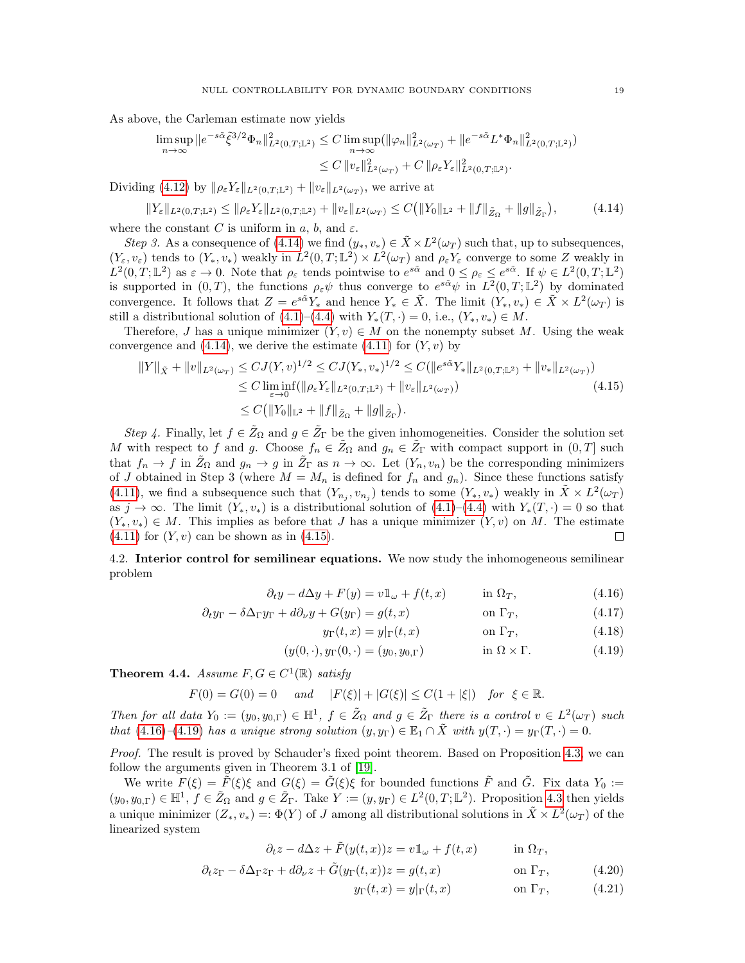As above, the Carleman estimate now yields

$$
\limsup_{n \to \infty} \|e^{-s\tilde{\alpha}}\tilde{\xi}^{3/2}\Phi_n\|_{L^2(0,T;\mathbb{L}^2)}^2 \leq C \limsup_{n \to \infty} (\|\varphi_n\|_{L^2(\omega_T)}^2 + \|e^{-s\tilde{\alpha}}L^*\Phi_n\|_{L^2(0,T;\mathbb{L}^2)}^2)
$$
  

$$
\leq C \|v_{\varepsilon}\|_{L^2(\omega_T)}^2 + C \|\rho_{\varepsilon}Y_{\varepsilon}\|_{L^2(0,T;\mathbb{L}^2)}^2.
$$

Dividing [\(4.12\)](#page-17-1) by  $\|\rho_{\varepsilon}Y_{\varepsilon}\|_{L^{2}(0,T;\mathbb{L}^{2})} + \|v_{\varepsilon}\|_{L^{2}(\omega_{T})}$ , we arrive at

<span id="page-18-1"></span>
$$
||Y_{\varepsilon}||_{L^{2}(0,T;\mathbb{L}^{2})} \leq ||\rho_{\varepsilon}Y_{\varepsilon}||_{L^{2}(0,T;\mathbb{L}^{2})} + ||v_{\varepsilon}||_{L^{2}(\omega_{T})} \leq C(||Y_{0}||_{\mathbb{L}^{2}} + ||f||_{\tilde{Z}_{\Omega}} + ||g||_{\tilde{Z}_{\Gamma}}),
$$
(4.14)

where the constant C is uniform in a, b, and  $\varepsilon$ .

Step 3. As a consequence of [\(4.14\)](#page-18-1) we find  $(y_*, v_*) \in \tilde{X} \times L^2(\omega_T)$  such that, up to subsequences,  $(Y_{\varepsilon}, v_{\varepsilon})$  tends to  $(Y_*, v_*)$  weakly in  $L^2(0,T;\mathbb{L}^2) \times L^2(\omega_T)$  and  $\rho_{\varepsilon} Y_{\varepsilon}$  converge to some Z weakly in  $L^2(0,T;\mathbb{L}^2)$  as  $\varepsilon \to 0$ . Note that  $\rho_{\varepsilon}$  tends pointwise to  $e^{s\tilde{\alpha}}$  and  $0 \leq \rho_{\varepsilon} \leq e^{s\tilde{\alpha}}$ . If  $\psi \in L^2(0,T;\mathbb{L}^2)$ is supported in  $(0,T)$ , the functions  $\rho_{\varepsilon}\psi$  thus converge to  $e^{s\tilde{\alpha}}\psi$  in  $L^2(0,T;\mathbb{L}^2)$  by dominated convergence. It follows that  $Z = e^{s\tilde{\alpha}}Y_*$  and hence  $Y_* \in \tilde{X}$ . The limit  $(Y_*, v_*) \in \tilde{X} \times L^2(\omega_T)$  is still a distributional solution of  $(4.1)–(4.4)$  $(4.1)–(4.4)$  with  $Y_*(T, \cdot) = 0$ , i.e.,  $(Y_*, v_*) \in M$ .

Therefore, J has a unique minimizer  $(Y, v) \in M$  on the nonempty subset M. Using the weak convergence and  $(4.14)$ , we derive the estimate  $(4.11)$  for  $(Y, v)$  by

$$
||Y||_{\tilde{X}} + ||v||_{L^{2}(\omega_{T})} \leq CJ(Y, v)^{1/2} \leq CJ(Y_{*}, v_{*})^{1/2} \leq C(||e^{s\tilde{\alpha}}Y_{*}||_{L^{2}(0,T;\mathbb{L}^{2})} + ||v_{*}||_{L^{2}(\omega_{T})})
$$
  
\n
$$
\leq C \liminf_{\varepsilon \to 0} (||\rho_{\varepsilon}Y_{\varepsilon}||_{L^{2}(0,T;\mathbb{L}^{2})} + ||v_{\varepsilon}||_{L^{2}(\omega_{T})})
$$
  
\n
$$
\leq C(||Y_{0}||_{\mathbb{L}^{2}} + ||f||_{\tilde{Z}_{\Omega}} + ||g||_{\tilde{Z}_{\Gamma}}).
$$
\n(4.15)

Step 4. Finally, let  $f \in \tilde{Z}_{\Omega}$  and  $g \in \tilde{Z}_{\Gamma}$  be the given inhomogeneities. Consider the solution set M with respect to f and g. Choose  $f_n \in \tilde{Z}_{\Omega}$  and  $g_n \in \tilde{Z}_{\Gamma}$  with compact support in  $(0,T]$  such that  $f_n \to f$  in  $\tilde{Z}_{\Omega}$  and  $g_n \to g$  in  $\tilde{Z}_{\Gamma}$  as  $n \to \infty$ . Let  $(Y_n, v_n)$  be the corresponding minimizers of J obtained in Step 3 (where  $M = M_n$  is defined for  $f_n$  and  $g_n$ ). Since these functions satisfy [\(4.11\)](#page-16-1), we find a subsequence such that  $(Y_{n_j}, v_{n_j})$  tends to some  $(Y_*, v_*)$  weakly in  $\tilde{X} \times L^2(\omega_T)$ as  $j \to \infty$ . The limit  $(Y_*, v_*)$  is a distributional solution of  $(4.1)–(4.4)$  $(4.1)–(4.4)$  with  $Y_*(T, \cdot) = 0$  so that  $(Y_*, v_*) \in M$ . This implies as before that J has a unique minimizer  $(Y, v)$  on M. The estimate  $(4.11)$  for  $(Y, v)$  can be shown as in  $(4.15)$ .  $\Box$ 

4.2. Interior control for semilinear equations. We now study the inhomogeneous semilinear problem

$$
\partial_t y - d\Delta y + F(y) = v \mathbb{1}_{\omega} + f(t, x) \quad \text{in } \Omega_T,
$$
\n(4.16)

$$
\partial_t y_{\Gamma} - \delta \Delta_{\Gamma} y_{\Gamma} + d \partial_{\nu} y + G(y_{\Gamma}) = g(t, x) \qquad \text{on } \Gamma_T,
$$
\n(4.17)

<span id="page-18-4"></span><span id="page-18-3"></span><span id="page-18-2"></span>
$$
y_{\Gamma}(t,x) = y|_{\Gamma}(t,x) \qquad \text{on } \Gamma_T, \tag{4.18}
$$

$$
(y(0,\cdot), y_{\Gamma}(0,\cdot) = (y_0, y_{0,\Gamma}) \quad \text{in } \Omega \times \Gamma. \tag{4.19}
$$

<span id="page-18-0"></span>**Theorem 4.4.** Assume  $F, G \in C^1(\mathbb{R})$  satisfy

$$
F(0) = G(0) = 0 \quad and \quad |F(\xi)| + |G(\xi)| \le C(1 + |\xi|) \quad for \ \xi \in \mathbb{R}.
$$

Then for all data  $Y_0 := (y_0, y_{0,\Gamma}) \in \mathbb{H}^1$ ,  $f \in \tilde{Z}_{\Omega}$  and  $g \in \tilde{Z}_{\Gamma}$  there is a control  $v \in L^2(\omega_T)$  such that [\(4.16\)](#page-18-3)–[\(4.19\)](#page-18-4) has a unique strong solution  $(y, y_{\Gamma}) \in \mathbb{E}_1 \cap \tilde{X}$  with  $y(T, \cdot) = y_{\Gamma}(T, \cdot) = 0$ .

Proof. The result is proved by Schauder's fixed point theorem. Based on Proposition [4.3,](#page-16-0) we can follow the arguments given in Theorem 3.1 of [\[19\]](#page-21-9).

We write  $F(\xi) = \tilde{F}(\xi)\xi$  and  $G(\xi) = \tilde{G}(\xi)\xi$  for bounded functions  $\tilde{F}$  and  $\tilde{G}$ . Fix data  $Y_0 :=$  $(y_0, y_{0,\Gamma}) \in \mathbb{H}^1$ ,  $f \in \tilde{Z}_{\Omega}$  and  $g \in \tilde{Z}_{\Gamma}$ . Take  $Y := (y, y_{\Gamma}) \in L^2(0,T; \mathbb{L}^2)$ . Proposition [4.3](#page-16-0) then yields a unique minimizer  $(Z_*, v_*) =: \Phi(Y)$  of J among all distributional solutions in  $\tilde{X} \times L^2(\omega_T)$  of the linearized system

$$
\partial_t z - d\Delta z + \tilde{F}(y(t, x))z = v 1\mathbb{I}_{\omega} + f(t, x) \quad \text{in } \Omega_T,
$$

$$
\partial_t z_\Gamma - \delta \Delta_\Gamma z_\Gamma + d \partial_\nu z + \tilde{G}(y_\Gamma(t, x)) z = g(t, x) \qquad \text{on } \Gamma_T,
$$
\n(4.20)

<span id="page-18-5"></span>
$$
y_{\Gamma}(t,x) = y|_{\Gamma}(t,x) \qquad \text{on } \Gamma_T, \tag{4.21}
$$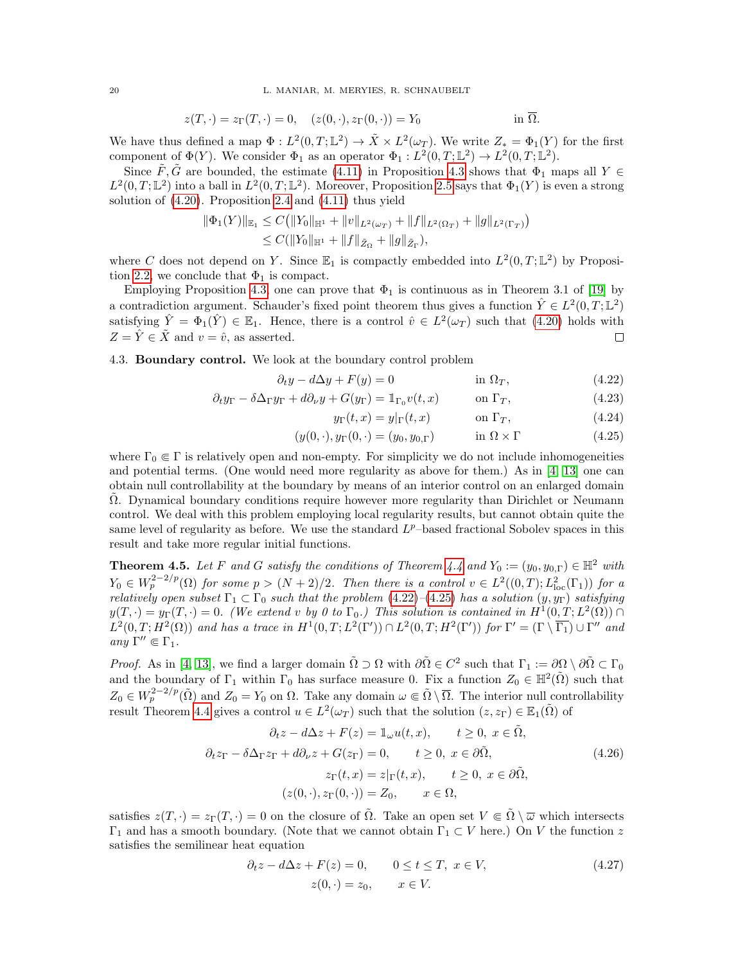$$
z(T, \cdot) = z_{\Gamma}(T, \cdot) = 0, \quad (z(0, \cdot), z_{\Gamma}(0, \cdot)) = Y_0 \quad \text{in } \overline{\Omega}.
$$

We have thus defined a map  $\Phi: L^2(0,T;\mathbb{L}^2) \to \tilde{X} \times L^2(\omega_T)$ . We write  $Z_* = \Phi_1(Y)$  for the first component of  $\Phi(Y)$ . We consider  $\Phi_1$  as an operator  $\Phi_1: L^2(0,T;\mathbb{L}^2) \to L^2(0,T;\mathbb{L}^2)$ .

Since  $\tilde{F}, \tilde{G}$  are bounded, the estimate [\(4.11\)](#page-16-1) in Proposition [4.3](#page-16-0) shows that  $\Phi_1$  maps all  $Y \in$  $L^2(0,T;\mathbb{L}^2)$  into a ball in  $L^2(0,T;\mathbb{L}^2)$ . Moreover, Proposition [2.5](#page-5-0) says that  $\Phi_1(Y)$  is even a strong solution of [\(4.20\)](#page-18-5). Proposition [2.4](#page-4-6) and [\(4.11\)](#page-16-1) thus yield

$$
\|\Phi_1(Y)\|_{\mathbb{E}_1} \le C \left( \|Y_0\|_{\mathbb{H}^1} + \|v\|_{L^2(\omega_T)} + \|f\|_{L^2(\Omega_T)} + \|g\|_{L^2(\Gamma_T)} \right)
$$
  

$$
\le C (\|Y_0\|_{\mathbb{H}^1} + \|f\|_{\tilde{Z}_{\Omega}} + \|g\|_{\tilde{Z}_{\Gamma}}),
$$

where C does not depend on Y. Since  $\mathbb{E}_1$  is compactly embedded into  $L^2(0,T;\mathbb{L}^2)$  by Proposi-tion [2.2,](#page-3-2) we conclude that  $\Phi_1$  is compact.

Employing Proposition [4.3,](#page-16-0) one can prove that  $\Phi_1$  is continuous as in Theorem 3.1 of [\[19\]](#page-21-9) by a contradiction argument. Schauder's fixed point theorem thus gives a function  $\hat{Y} \in L^2(0,T;\mathbb{L}^2)$ satisfying  $\hat{Y} = \Phi_1(\hat{Y}) \in \mathbb{E}_1$ . Hence, there is a control  $\hat{v} \in L^2(\omega_T)$  such that [\(4.20\)](#page-18-5) holds with  $Z = \hat{Y} \in \tilde{X}$  and  $v = \hat{v}$ , as asserted.  $\Box$ 

4.3. Boundary control. We look at the boundary control problem

$$
\partial_t y - d\Delta y + F(y) = 0 \qquad \text{in } \Omega_T,\tag{4.22}
$$

$$
\partial_t y_{\Gamma} - \delta \Delta_{\Gamma} y_{\Gamma} + d \partial_{\nu} y + G(y_{\Gamma}) = \mathbb{1}_{\Gamma_0} v(t, x) \qquad \text{on } \Gamma_T,
$$
\n(4.23)

<span id="page-19-2"></span><span id="page-19-1"></span>
$$
y_{\Gamma}(t,x) = y|_{\Gamma}(t,x) \qquad \text{on } \Gamma_T, \tag{4.24}
$$

$$
(y(0, \cdot), y_{\Gamma}(0, \cdot) = (y_0, y_{0,\Gamma}) \quad \text{in } \Omega \times \Gamma \tag{4.25}
$$

where  $\Gamma_0 \subseteq \Gamma$  is relatively open and non-empty. For simplicity we do not include inhomogeneities and potential terms. (One would need more regularity as above for them.) As in [\[4,](#page-20-4) [13\]](#page-21-8) one can obtain null controllability at the boundary by means of an interior control on an enlarged domain  $\Omega$ . Dynamical boundary conditions require however more regularity than Dirichlet or Neumann control. We deal with this problem employing local regularity results, but cannot obtain quite the same level of regularity as before. We use the standard  $L^p$ -based fractional Sobolev spaces in this result and take more regular initial functions.

<span id="page-19-0"></span>**Theorem 4.5.** Let F and G satisfy the conditions of Theorem [4.4](#page-18-0) and  $Y_0 := (y_0, y_{0,\Gamma}) \in \mathbb{H}^2$  with  $Y_0 \in W_p^{2-2/p}(\Omega)$  for some  $p > (N+2)/2$ . Then there is a control  $v \in L^2((0,T);L^2_{loc}(\Gamma_1))$  for a relatively open subset  $\Gamma_1 \subset \Gamma_0$  such that the problem [\(4.22\)](#page-19-1)–[\(4.25\)](#page-19-2) has a solution  $(y, y_\Gamma)$  satisfying  $y(T, \cdot) = y_{\Gamma}(T, \cdot) = 0$ . (We extend v by 0 to  $\Gamma_0$ .) This solution is contained in  $H^1(0,T; L^2(\Omega)) \cap$  $L^2(0,T;H^2(\Omega))$  and has a trace in  $H^1(0,T;L^2(\Gamma')) \cap L^2(0,T;H^2(\Gamma'))$  for  $\Gamma' = (\Gamma \setminus \overline{\Gamma_1}) \cup \Gamma''$  and  $\mathit{any}\ \Gamma'' \Subset \Gamma_1.$ 

*Proof.* As in [\[4,](#page-20-4) [13\]](#page-21-8), we find a larger domain  $\tilde{\Omega} \supset \Omega$  with  $\partial \tilde{\Omega} \in C^2$  such that  $\Gamma_1 := \partial \Omega \setminus \partial \tilde{\Omega} \subset \Gamma_0$ and the boundary of  $\Gamma_1$  within  $\Gamma_0$  has surface measure 0. Fix a function  $Z_0 \in \mathbb{H}^2(\tilde{\Omega})$  such that  $Z_0 \in W_p^{2-2/p}(\tilde{\Omega})$  and  $Z_0 = Y_0$  on  $\Omega$ . Take any domain  $\omega \in \tilde{\Omega} \setminus \overline{\Omega}$ . The interior null controllability result Theorem [4.4](#page-18-0) gives a control  $u \in L^2(\omega_T)$  such that the solution  $(z, z_\Gamma) \in \mathbb{E}_1(\tilde{\Omega})$  of

$$
\partial_t z - d\Delta z + F(z) = \mathbb{1}_{\omega} u(t, x), \qquad t \ge 0, \ x \in \tilde{\Omega},
$$

$$
\partial_t z_{\Gamma} - \delta \Delta_{\Gamma} z_{\Gamma} + d\partial_{\nu} z + G(z_{\Gamma}) = 0, \qquad t \ge 0, \ x \in \partial \tilde{\Omega},
$$

$$
z_{\Gamma}(t, x) = z|_{\Gamma}(t, x), \qquad t \ge 0, \ x \in \partial \tilde{\Omega},
$$

$$
(z(0, \cdot), z_{\Gamma}(0, \cdot)) = Z_0, \qquad x \in \Omega,
$$

$$
(2\pi)^{-1} u = \sum_{\Gamma \in \tilde{\Omega}} \langle x, \Gamma \rangle u = \sum_{\Gamma \in \tilde{\Omega}} \langle x, \Gamma \rangle u = \sum_{\Gamma \in \tilde{\Omega}} \langle x, \Gamma \rangle u = \sum_{\Gamma \in \tilde{\Omega}} \langle x, \Gamma \rangle u = \sum_{\Gamma \in \tilde{\Omega}} \langle x, \Gamma \rangle u = \sum_{\Gamma \in \tilde{\Omega}} \langle x, \Gamma \rangle u = \sum_{\Gamma \in \tilde{\Omega}} \langle x, \Gamma \rangle u = \sum_{\Gamma \in \tilde{\Omega}} \langle x, \Gamma \rangle u = \sum_{\Gamma \in \tilde{\Omega}} \langle x, \Gamma \rangle u = \sum_{\Gamma \in \tilde{\Omega}} \langle x, \Gamma \rangle u = \sum_{\Gamma \in \tilde{\Omega}} \langle x, \Gamma \rangle u = \sum_{\Gamma \in \tilde{\Omega}} \langle x, \Gamma \rangle u = \sum_{\Gamma \in \tilde{\Omega}} \langle x, \Gamma \rangle u = \sum_{\Gamma \in \tilde{\Omega}} \langle x, \Gamma \rangle u = \sum_{\Gamma \in \tilde{\Omega}} \langle x, \Gamma \rangle u = \sum_{\Gamma \in \tilde{\Omega}} \langle x, \Gamma \rangle u = \sum_{\Gamma \in \tilde{\Omega}} \langle x, \Gamma \rangle u = \sum_{\Gamma \in \tilde{\Omega}} \langle x, \Gamma \rangle u = \sum_{\Gamma \in \tilde{\Omega}} \langle x, \Gamma \rangle u = \sum_{\Gamma \in \tilde{\Omega}} \langle x, \Gamma \rangle u = \sum_{\Gamma \in \tilde{\Omega}} \langle x, \Gamma \rangle u = \sum_{\Gamma \in \tilde{\Omega}} \langle x, \Gamma \rangle u = \sum_{\Gamma \in \tilde{\Omega}} \langle x, \Gamma \rangle u = \sum_{\Gamma \in \tilde
$$

satisfies  $z(T, \cdot) = z_{\Gamma}(T, \cdot) = 0$  on the closure of  $\tilde{\Omega}$ . Take an open set  $V \in \tilde{\Omega} \setminus \overline{\omega}$  which intersects  $\Gamma_1$  and has a smooth boundary. (Note that we cannot obtain  $\Gamma_1 \subset V$  here.) On V the function z satisfies the semilinear heat equation

<span id="page-19-3"></span>
$$
\partial_t z - d\Delta z + F(z) = 0, \qquad 0 \le t \le T, \ x \in V,
$$
  
\n
$$
z(0, \cdot) = z_0, \qquad x \in V.
$$
\n(4.27)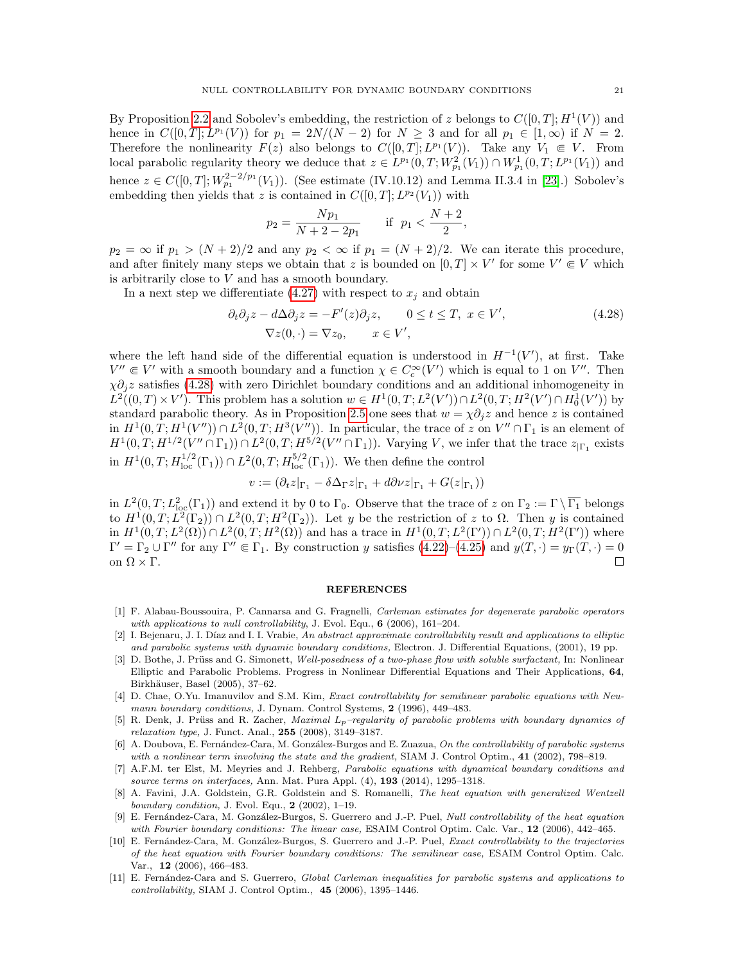By Proposition [2.2](#page-3-2) and Sobolev's embedding, the restriction of z belongs to  $C([0,T];H^1(V))$  and hence in  $C([0,T]; L^{p_1}(V))$  for  $p_1 = 2N/(N-2)$  for  $N \geq 3$  and for all  $p_1 \in [1,\infty)$  if  $N = 2$ . Therefore the nonlinearity  $F(z)$  also belongs to  $C([0,T]; L^{p_1}(V))$ . Take any  $V_1 \subseteq V$ . From local parabolic regularity theory we deduce that  $z \in L^{p_1}(0,T;W_{p_1}^2(V_1)) \cap W_{p_1}^1(0,T;L^{p_1}(V_1))$  and hence  $z \in C([0, T]; W_{p_1}^{2-2/p_1}(V_1))$ . (See estimate (IV.10.12) and Lemma II.3.4 in [\[23\]](#page-21-23).) Sobolev's embedding then yields that z is contained in  $C([0, T]; L^{p_2}(V_1))$  with

<span id="page-20-11"></span>
$$
p_2 = \frac{Np_1}{N+2-2p_1} \quad \text{if } p_1 < \frac{N+2}{2},
$$

 $p_2 = \infty$  if  $p_1 > (N+2)/2$  and any  $p_2 < \infty$  if  $p_1 = (N+2)/2$ . We can iterate this procedure, and after finitely many steps we obtain that z is bounded on  $[0, T] \times V'$  for some  $V' \in V$  which is arbitrarily close to V and has a smooth boundary.

In a next step we differentiate  $(4.27)$  with respect to  $x_j$  and obtain

$$
\partial_t \partial_j z - d\Delta \partial_j z = -F'(z)\partial_j z, \qquad 0 \le t \le T, \ x \in V',
$$
  

$$
\nabla z(0, \cdot) = \nabla z_0, \qquad x \in V',
$$
 (4.28)

where the left hand side of the differential equation is understood in  $H^{-1}(V')$ , at first. Take  $V'' \in V'$  with a smooth boundary and a function  $\chi \in C_c^{\infty}(V')$  which is equal to 1 on  $V''$ . Then  $\chi \partial_i z$  satisfies [\(4.28\)](#page-20-11) with zero Dirichlet boundary conditions and an additional inhomogeneity in  $L^2((0,T)\times V')$ . This problem has a solution  $w \in H^1(0,T; L^2(V')) \cap L^2(0,T; H^2(V') \cap H_0^1(V'))$  by standard parabolic theory. As in Proposition [2.5](#page-5-0) one sees that  $w = \chi \partial_i z$  and hence z is contained in  $H^1(0,T;H^1(V'')) \cap L^2(0,T;H^3(V''))$ . In particular, the trace of z on  $V'' \cap \Gamma_1$  is an element of  $H^1(0,T;H^{1/2}(V'' \cap \Gamma_1)) \cap L^2(0,T;H^{5/2}(V'' \cap \Gamma_1))$ . Varying V, we infer that the trace  $z_{|\Gamma_1}$  exists in  $H^1(0,T; H^{1/2}_{loc}(\Gamma_1)) \cap L^2(0,T; H^{5/2}_{loc}(\Gamma_1))$ . We then define the control

$$
v := (\partial_t z|_{\Gamma_1} - \delta \Delta_{\Gamma} z|_{\Gamma_1} + d\partial \nu z|_{\Gamma_1} + G(z|_{\Gamma_1}))
$$

in  $L^2(0,T; L^2_{loc}(\Gamma_1))$  and extend it by 0 to  $\Gamma_0$ . Observe that the trace of z on  $\Gamma_2 := \Gamma \setminus \overline{\Gamma_1}$  belongs to  $H^1(0,T; L^2(\Gamma_2)) \cap L^2(0,T; H^2(\Gamma_2))$ . Let y be the restriction of z to  $\Omega$ . Then y is contained in  $H^1(0,T; L^2(\Omega)) \cap L^2(0,T; H^2(\Omega))$  and has a trace in  $H^1(0,T; L^2(\Gamma')) \cap L^2(0,T; H^2(\Gamma'))$  where  $\Gamma' = \Gamma_2 \cup \Gamma''$  for any  $\Gamma'' \in \Gamma_1$ . By construction y satisfies  $(4.22)-(4.25)$  $(4.22)-(4.25)$  and  $y(T, \cdot) = y_\Gamma(T, \cdot) = 0$ on  $\Omega \times \Gamma$ .  $\Box$ 

## **REFERENCES**

- <span id="page-20-9"></span>[1] F. Alabau-Boussouira, P. Cannarsa and G. Fragnelli, Carleman estimates for degenerate parabolic operators with applications to null controllability, J. Evol. Equ.,  $6$  (2006), 161-204.
- <span id="page-20-10"></span>[2] I. Bejenaru, J. I. Díaz and I. I. Vrabie, An abstract approximate controllability result and applications to elliptic and parabolic systems with dynamic boundary conditions, Electron. J. Differential Equations, (2001), 19 pp.
- <span id="page-20-0"></span>[3] D. Bothe, J. Prüss and G. Simonett, Well-posedness of a two-phase flow with soluble surfactant, In: Nonlinear Elliptic and Parabolic Problems. Progress in Nonlinear Differential Equations and Their Applications, 64, Birkhäuser, Basel (2005), 37-62.
- <span id="page-20-4"></span>[4] D. Chae, O.Yu. Imanuvilov and S.M. Kim, Exact controllability for semilinear parabolic equations with Neumann boundary conditions, J. Dynam. Control Systems, 2 (1996), 449–483.
- <span id="page-20-1"></span>[5] R. Denk, J. Prüss and R. Zacher, Maximal  $L_p$ –regularity of parabolic problems with boundary dynamics of relaxation type, J. Funct. Anal., 255 (2008), 3149–3187.
- <span id="page-20-5"></span>[6] A. Doubova, E. Fernández-Cara, M. González-Burgos and E. Zuazua, On the controllability of parabolic systems with a nonlinear term involving the state and the gradient, SIAM J. Control Optim., 41 (2002), 798–819.
- <span id="page-20-2"></span>[7] A.F.M. ter Elst, M. Meyries and J. Rehberg, Parabolic equations with dynamical boundary conditions and source terms on interfaces, Ann. Mat. Pura Appl. (4), 193 (2014), 1295–1318.
- <span id="page-20-3"></span>[8] A. Favini, J.A. Goldstein, G.R. Goldstein and S. Romanelli, The heat equation with generalized Wentzell boundary condition, J. Evol. Equ.,  $2$  (2002), 1-19.
- <span id="page-20-6"></span>[9] E. Fernández-Cara, M. González-Burgos, S. Guerrero and J.-P. Puel, Null controllability of the heat equation with Fourier boundary conditions: The linear case, ESAIM Control Optim. Calc. Var., 12 (2006), 442-465.
- <span id="page-20-7"></span>[10] E. Fernández-Cara, M. González-Burgos, S. Guerrero and J.-P. Puel, Exact controllability to the trajectories of the heat equation with Fourier boundary conditions: The semilinear case, ESAIM Control Optim. Calc. Var.,  $12$  (2006), 466-483.
- <span id="page-20-8"></span>[11] E. Fernández-Cara and S. Guerrero, Global Carleman inequalities for parabolic systems and applications to  $controllability, SIAM J. Control Optim., 45 (2006), 1395–1446.$